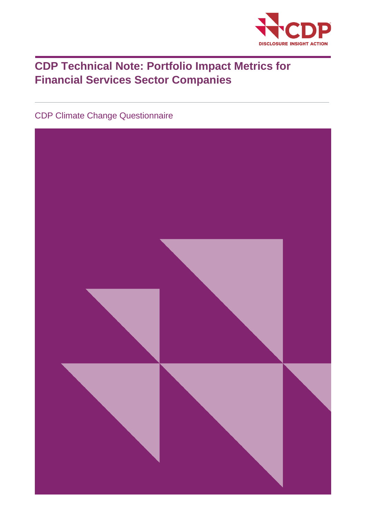

# **CDP Technical Note: Portfolio Impact Metrics for Financial Services Sector Companies**

CDP Climate Change Questionnaire

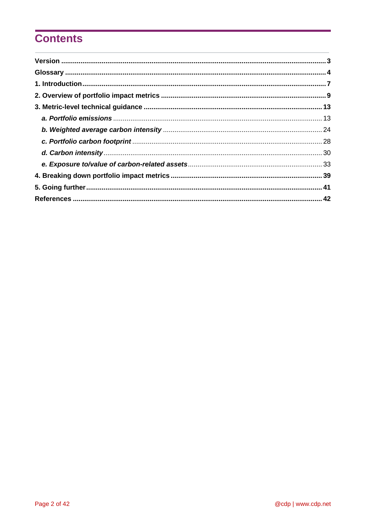# **Contents**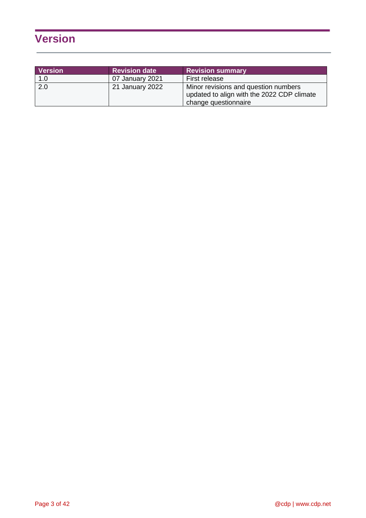# <span id="page-2-0"></span>**Version**

| <b>Version</b> | <b>Revision date</b> | <b>Revision summary</b>                                                                                    |
|----------------|----------------------|------------------------------------------------------------------------------------------------------------|
| 1.0            | 07 January 2021      | First release                                                                                              |
| 2.0            | 21 January 2022      | Minor revisions and question numbers<br>updated to align with the 2022 CDP climate<br>change questionnaire |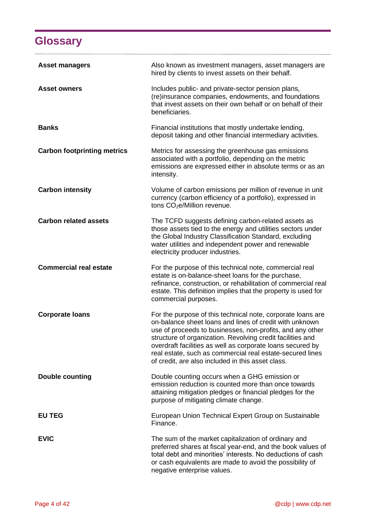# **Glossary**

<span id="page-3-0"></span>

| <b>Asset managers</b>              | Also known as investment managers, asset managers are<br>hired by clients to invest assets on their behalf.                                                                                                                                                                                                                                                                                                                       |
|------------------------------------|-----------------------------------------------------------------------------------------------------------------------------------------------------------------------------------------------------------------------------------------------------------------------------------------------------------------------------------------------------------------------------------------------------------------------------------|
| <b>Asset owners</b>                | Includes public- and private-sector pension plans,<br>(re)insurance companies, endowments, and foundations<br>that invest assets on their own behalf or on behalf of their<br>beneficiaries.                                                                                                                                                                                                                                      |
| <b>Banks</b>                       | Financial institutions that mostly undertake lending,<br>deposit taking and other financial intermediary activities.                                                                                                                                                                                                                                                                                                              |
| <b>Carbon footprinting metrics</b> | Metrics for assessing the greenhouse gas emissions<br>associated with a portfolio, depending on the metric<br>emissions are expressed either in absolute terms or as an<br>intensity.                                                                                                                                                                                                                                             |
| <b>Carbon intensity</b>            | Volume of carbon emissions per million of revenue in unit<br>currency (carbon efficiency of a portfolio), expressed in<br>tons CO <sub>2</sub> e/Million revenue.                                                                                                                                                                                                                                                                 |
| <b>Carbon related assets</b>       | The TCFD suggests defining carbon-related assets as<br>those assets tied to the energy and utilities sectors under<br>the Global Industry Classification Standard, excluding<br>water utilities and independent power and renewable<br>electricity producer industries.                                                                                                                                                           |
| <b>Commercial real estate</b>      | For the purpose of this technical note, commercial real<br>estate is on-balance-sheet loans for the purchase,<br>refinance, construction, or rehabilitation of commercial real<br>estate. This definition implies that the property is used for<br>commercial purposes.                                                                                                                                                           |
| <b>Corporate loans</b>             | For the purpose of this technical note, corporate loans are<br>on-balance sheet loans and lines of credit with unknown<br>use of proceeds to businesses, non-profits, and any other<br>structure of organization. Revolving credit facilities and<br>overdraft facilities as well as corporate loans secured by<br>real estate, such as commercial real estate-secured lines<br>of credit, are also included in this asset class. |
| <b>Double counting</b>             | Double counting occurs when a GHG emission or<br>emission reduction is counted more than once towards<br>attaining mitigation pledges or financial pledges for the<br>purpose of mitigating climate change.                                                                                                                                                                                                                       |
| <b>EU TEG</b>                      | European Union Technical Expert Group on Sustainable<br>Finance.                                                                                                                                                                                                                                                                                                                                                                  |
| <b>EVIC</b>                        | The sum of the market capitalization of ordinary and<br>preferred shares at fiscal year-end, and the book values of<br>total debt and minorities' interests. No deductions of cash<br>or cash equivalents are made to avoid the possibility of<br>negative enterprise values.                                                                                                                                                     |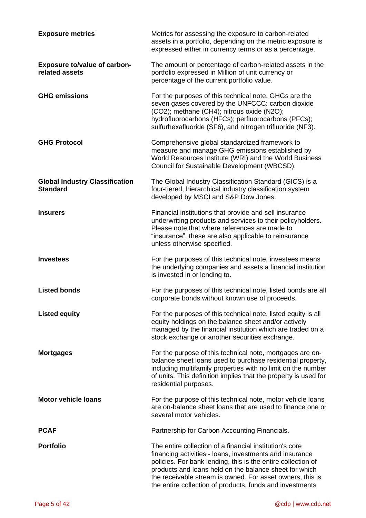| <b>Exposure metrics</b>                                  | Metrics for assessing the exposure to carbon-related<br>assets in a portfolio, depending on the metric exposure is<br>expressed either in currency terms or as a percentage.                                                                                                                                                                                          |
|----------------------------------------------------------|-----------------------------------------------------------------------------------------------------------------------------------------------------------------------------------------------------------------------------------------------------------------------------------------------------------------------------------------------------------------------|
| <b>Exposure to/value of carbon-</b><br>related assets    | The amount or percentage of carbon-related assets in the<br>portfolio expressed in Million of unit currency or<br>percentage of the current portfolio value.                                                                                                                                                                                                          |
| <b>GHG emissions</b>                                     | For the purposes of this technical note, GHGs are the<br>seven gases covered by the UNFCCC: carbon dioxide<br>(CO2); methane (CH4); nitrous oxide (N2O);<br>hydrofluorocarbons (HFCs); perfluorocarbons (PFCs);<br>sulfurhexafluoride (SF6), and nitrogen trifluoride (NF3).                                                                                          |
| <b>GHG Protocol</b>                                      | Comprehensive global standardized framework to<br>measure and manage GHG emissions established by<br>World Resources Institute (WRI) and the World Business<br>Council for Sustainable Development (WBCSD).                                                                                                                                                           |
| <b>Global Industry Classification</b><br><b>Standard</b> | The Global Industry Classification Standard (GICS) is a<br>four-tiered, hierarchical industry classification system<br>developed by MSCI and S&P Dow Jones.                                                                                                                                                                                                           |
| <b>Insurers</b>                                          | Financial institutions that provide and sell insurance<br>underwriting products and services to their policyholders.<br>Please note that where references are made to<br>"insurance", these are also applicable to reinsurance<br>unless otherwise specified.                                                                                                         |
| <b>Investees</b>                                         | For the purposes of this technical note, investees means<br>the underlying companies and assets a financial institution<br>is invested in or lending to.                                                                                                                                                                                                              |
| <b>Listed bonds</b>                                      | For the purposes of this technical note, listed bonds are all<br>corporate bonds without known use of proceeds.                                                                                                                                                                                                                                                       |
| <b>Listed equity</b>                                     | For the purposes of this technical note, listed equity is all<br>equity holdings on the balance sheet and/or actively<br>managed by the financial institution which are traded on a<br>stock exchange or another securities exchange.                                                                                                                                 |
| <b>Mortgages</b>                                         | For the purpose of this technical note, mortgages are on-<br>balance sheet loans used to purchase residential property,<br>including multifamily properties with no limit on the number<br>of units. This definition implies that the property is used for<br>residential purposes.                                                                                   |
| <b>Motor vehicle loans</b>                               | For the purpose of this technical note, motor vehicle loans<br>are on-balance sheet loans that are used to finance one or<br>several motor vehicles.                                                                                                                                                                                                                  |
| <b>PCAF</b>                                              | Partnership for Carbon Accounting Financials.                                                                                                                                                                                                                                                                                                                         |
| <b>Portfolio</b>                                         | The entire collection of a financial institution's core<br>financing activities - loans, investments and insurance<br>policies. For bank lending, this is the entire collection of<br>products and loans held on the balance sheet for which<br>the receivable stream is owned. For asset owners, this is<br>the entire collection of products, funds and investments |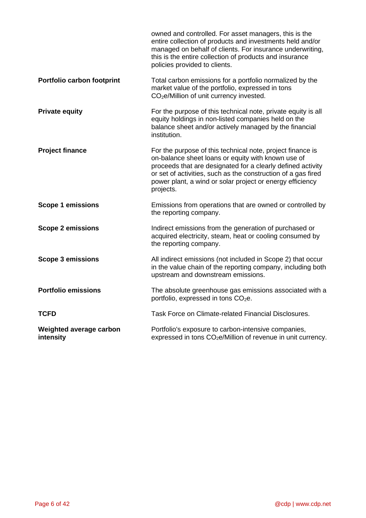|                                      | owned and controlled. For asset managers, this is the<br>entire collection of products and investments held and/or<br>managed on behalf of clients. For insurance underwriting,<br>this is the entire collection of products and insurance<br>policies provided to clients.                                                |
|--------------------------------------|----------------------------------------------------------------------------------------------------------------------------------------------------------------------------------------------------------------------------------------------------------------------------------------------------------------------------|
| Portfolio carbon footprint           | Total carbon emissions for a portfolio normalized by the<br>market value of the portfolio, expressed in tons<br>CO <sub>2</sub> e/Million of unit currency invested.                                                                                                                                                       |
| <b>Private equity</b>                | For the purpose of this technical note, private equity is all<br>equity holdings in non-listed companies held on the<br>balance sheet and/or actively managed by the financial<br>institution.                                                                                                                             |
| <b>Project finance</b>               | For the purpose of this technical note, project finance is<br>on-balance sheet loans or equity with known use of<br>proceeds that are designated for a clearly defined activity<br>or set of activities, such as the construction of a gas fired<br>power plant, a wind or solar project or energy efficiency<br>projects. |
| <b>Scope 1 emissions</b>             | Emissions from operations that are owned or controlled by<br>the reporting company.                                                                                                                                                                                                                                        |
| <b>Scope 2 emissions</b>             | Indirect emissions from the generation of purchased or<br>acquired electricity, steam, heat or cooling consumed by<br>the reporting company.                                                                                                                                                                               |
| <b>Scope 3 emissions</b>             | All indirect emissions (not included in Scope 2) that occur<br>in the value chain of the reporting company, including both<br>upstream and downstream emissions.                                                                                                                                                           |
| <b>Portfolio emissions</b>           | The absolute greenhouse gas emissions associated with a<br>portfolio, expressed in tons CO <sub>2</sub> e.                                                                                                                                                                                                                 |
| <b>TCFD</b>                          | Task Force on Climate-related Financial Disclosures.                                                                                                                                                                                                                                                                       |
| Weighted average carbon<br>intensity | Portfolio's exposure to carbon-intensive companies,<br>expressed in tons CO <sub>2</sub> e/Million of revenue in unit currency.                                                                                                                                                                                            |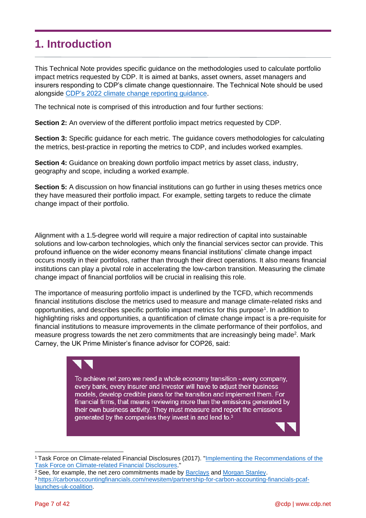## <span id="page-6-0"></span>**1. Introduction**

This Technical Note provides specific guidance on the methodologies used to calculate portfolio impact metrics requested by CDP. It is aimed at banks, asset owners, asset managers and insurers responding to CDP's climate change questionnaire. The Technical Note should be used alongside CDP's 2022 [climate change reporting guidance.](https://www.cdp.net/en/guidance/guidance-for-companies)

The technical note is comprised of this introduction and four further sections:

**Section 2:** An overview of the different portfolio impact metrics requested by CDP.

**Section 3:** Specific guidance for each metric. The guidance covers methodologies for calculating the metrics, best-practice in reporting the metrics to CDP, and includes worked examples.

**Section 4:** Guidance on breaking down portfolio impact metrics by asset class, industry, geography and scope, including a worked example.

**Section 5:** A discussion on how financial institutions can go further in using theses metrics once they have measured their portfolio impact. For example, setting targets to reduce the climate change impact of their portfolio.

Alignment with a 1.5-degree world will require a major redirection of capital into sustainable solutions and low-carbon technologies, which only the financial services sector can provide. This profound influence on the wider economy means financial institutions' climate change impact occurs mostly in their portfolios, rather than through their direct operations. It also means financial institutions can play a pivotal role in accelerating the low-carbon transition. Measuring the climate change impact of financial portfolios will be crucial in realising this role.

The importance of measuring portfolio impact is underlined by the TCFD, which recommends financial institutions disclose the metrics used to measure and manage climate-related risks and opportunities, and describes specific portfolio impact metrics for this purpose<sup>1</sup>. In addition to highlighting risks and opportunities, a quantification of climate change impact is a pre-requisite for financial institutions to measure improvements in the climate performance of their portfolios, and measure progress towards the net zero commitments that are increasingly being made<sup>2</sup>. Mark Carney, the UK Prime Minister's finance advisor for COP26, said:



To achieve net zero we need a whole economy transition - every company, every bank, every insurer and investor will have to adjust their business models, develop credible plans for the transition and implement them. For financial firms, that means reviewing more than the emissions generated by their own business activity. They must measure and report the emissions generated by the companies they invest in and lend to.<sup>3</sup>

<sup>1</sup> Task Force on Climate-related Financial Disclosures (2017). ["Implementing the Recommendations of the](https://www.fsb-tcfd.org/wp-content/uploads/2017/06/FINAL-TCFD-Annex-062817.pdf)  [Task Force on Climate-related Financial Disclosures.](https://www.fsb-tcfd.org/wp-content/uploads/2017/06/FINAL-TCFD-Annex-062817.pdf)"

<sup>&</sup>lt;sup>2</sup> See, for example, the net zero commitments made by **Barclays** and **Morgan Stanley**.

<sup>3</sup> [https://carbonaccountingfinancials.com/newsitem/partnership-for-carbon-accounting-financials-pcaf](https://carbonaccountingfinancials.com/newsitem/partnership-for-carbon-accounting-financials-pcaf-launches-uk-coalition)[launches-uk-coalition.](https://carbonaccountingfinancials.com/newsitem/partnership-for-carbon-accounting-financials-pcaf-launches-uk-coalition)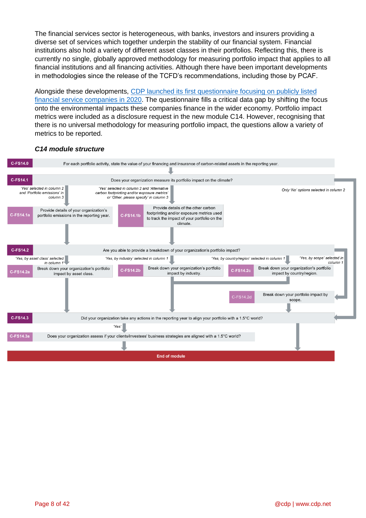The financial services sector is heterogeneous, with banks, investors and insurers providing a diverse set of services which together underpin the stability of our financial system. Financial institutions also hold a variety of different asset classes in their portfolios. Reflecting this, there is currently no single, globally approved methodology for measuring portfolio impact that applies to all financial institutions and all financing activities. Although there have been important developments in methodologies since the release of the TCFD's recommendations, including those by PCAF.

Alongside these developments, [CDP launched its first questionnaire focusing on publicly listed](https://6fefcbb86e61af1b2fc4-c70d8ead6ced550b4d987d7c03fcdd1d.ssl.cf3.rackcdn.com/comfy/cms/files/files/000/003/157/original/Financial_Services_Questionnaire_Briefing.pdf)  [financial service companies in 2020.](https://6fefcbb86e61af1b2fc4-c70d8ead6ced550b4d987d7c03fcdd1d.ssl.cf3.rackcdn.com/comfy/cms/files/files/000/003/157/original/Financial_Services_Questionnaire_Briefing.pdf) The questionnaire fills a critical data gap by shifting the focus onto the environmental impacts these companies finance in the wider economy. Portfolio impact metrics were included as a disclosure request in the new module C14. However, recognising that there is no universal methodology for measuring portfolio impact, the questions allow a variety of metrics to be reported.

## *C14 module structure*

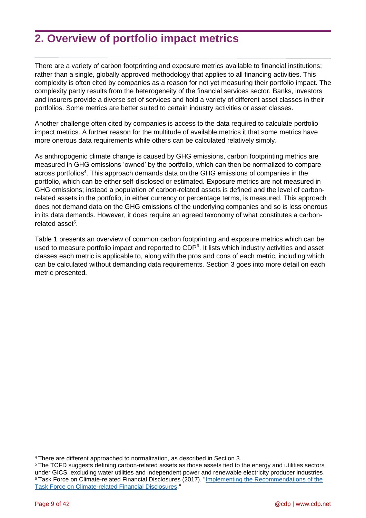## <span id="page-8-0"></span>**2. Overview of portfolio impact metrics**

There are a variety of carbon footprinting and exposure metrics available to financial institutions; rather than a single, globally approved methodology that applies to all financing activities. This complexity is often cited by companies as a reason for not yet measuring their portfolio impact. The complexity partly results from the heterogeneity of the financial services sector. Banks, investors and insurers provide a diverse set of services and hold a variety of different asset classes in their portfolios. Some metrics are better suited to certain industry activities or asset classes.

Another challenge often cited by companies is access to the data required to calculate portfolio impact metrics. A further reason for the multitude of available metrics it that some metrics have more onerous data requirements while others can be calculated relatively simply.

As anthropogenic climate change is caused by GHG emissions, carbon footprinting metrics are measured in GHG emissions 'owned' by the portfolio, which can then be normalized to compare across portfolios<sup>4</sup>. This approach demands data on the GHG emissions of companies in the portfolio, which can be either self-disclosed or estimated. Exposure metrics are not measured in GHG emissions; instead a population of carbon-related assets is defined and the level of carbonrelated assets in the portfolio, in either currency or percentage terms, is measured. This approach does not demand data on the GHG emissions of the underlying companies and so is less onerous in its data demands. However, it does require an agreed taxonomy of what constitutes a carbonrelated asset<sup>5</sup>.

Table 1 presents an overview of common carbon footprinting and exposure metrics which can be used to measure portfolio impact and reported to CDP<sup>6</sup>. It lists which industry activities and asset classes each metric is applicable to, along with the pros and cons of each metric, including which can be calculated without demanding data requirements. Section 3 goes into more detail on each metric presented.

<sup>4</sup> There are different approached to normalization, as described in Section 3.

<sup>5</sup> The TCFD suggests defining carbon-related assets as those assets tied to the energy and utilities sectors under GICS, excluding water utilities and independent power and renewable electricity producer industries. <sup>6</sup> Task Force on Climate-related Financial Disclosures (2017). ["Implementing the Recommendations of the](https://www.fsb-tcfd.org/wp-content/uploads/2017/06/FINAL-TCFD-Annex-062817.pdf)  [Task Force on Climate-related Financial Disclosures.](https://www.fsb-tcfd.org/wp-content/uploads/2017/06/FINAL-TCFD-Annex-062817.pdf)"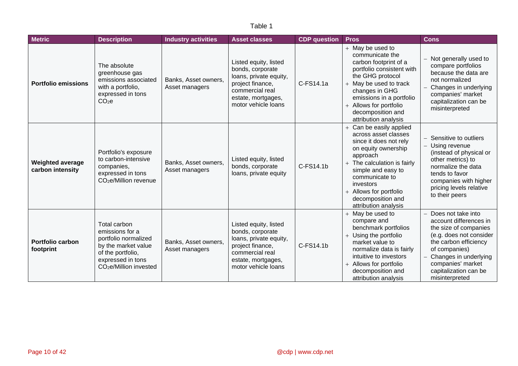## Table 1

| <b>Metric</b>                               | <b>Description</b>                                                                                                                                             | <b>Industry activities</b>             | <b>Asset classes</b>                                                                                                                                    | <b>CDP</b> question | <b>Pros</b>                                                                                                                                                                                                                                                             | <b>Cons</b>                                                                                                                                                                                                                         |
|---------------------------------------------|----------------------------------------------------------------------------------------------------------------------------------------------------------------|----------------------------------------|---------------------------------------------------------------------------------------------------------------------------------------------------------|---------------------|-------------------------------------------------------------------------------------------------------------------------------------------------------------------------------------------------------------------------------------------------------------------------|-------------------------------------------------------------------------------------------------------------------------------------------------------------------------------------------------------------------------------------|
| <b>Portfolio emissions</b>                  | The absolute<br>greenhouse gas<br>emissions associated<br>with a portfolio,<br>expressed in tons<br>CO <sub>2</sub> e                                          | Banks, Asset owners,<br>Asset managers | Listed equity, listed<br>bonds, corporate<br>loans, private equity,<br>project finance,<br>commercial real<br>estate, mortgages,<br>motor vehicle loans | C-FS14.1a           | $+$ May be used to<br>communicate the<br>carbon footprint of a<br>portfolio consistent with<br>the GHG protocol<br>+ May be used to track<br>changes in GHG<br>emissions in a portfolio<br>+ Allows for portfolio<br>decomposition and<br>attribution analysis          | Not generally used to<br>compare portfolios<br>because the data are<br>not normalized<br>Changes in underlying<br>companies' market<br>capitalization can be<br>misinterpreted                                                      |
| <b>Weighted average</b><br>carbon intensity | Portfolio's exposure<br>to carbon-intensive<br>companies,<br>expressed in tons<br>CO <sub>2</sub> e/Million revenue                                            | Banks, Asset owners,<br>Asset managers | Listed equity, listed<br>bonds, corporate<br>loans, private equity                                                                                      | C-FS14.1b           | + Can be easily applied<br>across asset classes<br>since it does not rely<br>on equity ownership<br>approach<br>+ The calculation is fairly<br>simple and easy to<br>communicate to<br>investors<br>+ Allows for portfolio<br>decomposition and<br>attribution analysis | Sensitive to outliers<br>Using revenue<br>(instead of physical or<br>other metrics) to<br>normalize the data<br>tends to favor<br>companies with higher<br>pricing levels relative<br>to their peers                                |
| Portfolio carbon<br>footprint               | Total carbon<br>emissions for a<br>portfolio normalized<br>by the market value<br>of the portfolio,<br>expressed in tons<br>CO <sub>2</sub> e/Million invested | Banks, Asset owners,<br>Asset managers | Listed equity, listed<br>bonds, corporate<br>loans, private equity,<br>project finance,<br>commercial real<br>estate, mortgages,<br>motor vehicle loans | C-FS14.1b           | $+$ May be used to<br>compare and<br>benchmark portfolios<br>+ Using the portfolio<br>market value to<br>normalize data is fairly<br>intuitive to investors<br>+ Allows for portfolio<br>decomposition and<br>attribution analysis                                      | Does not take into<br>account differences in<br>the size of companies<br>(e.g. does not consider<br>the carbon efficiency<br>of companies)<br>Changes in underlying<br>companies' market<br>capitalization can be<br>misinterpreted |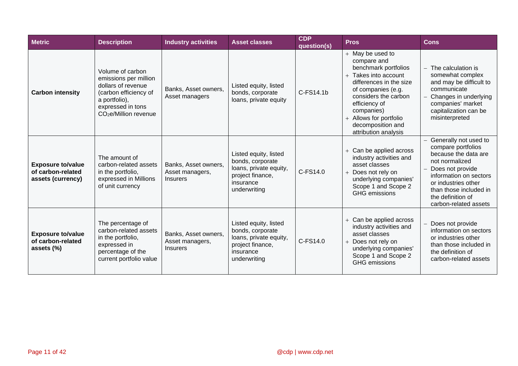| <b>Metric</b>                                                      | <b>Description</b>                                                                                                                                                  | <b>Industry activities</b>                                 | <b>Asset classes</b>                                                                                                 | <b>CDP</b><br>question(s) | <b>Pros</b>                                                                                                                                                                                                                                                      | Cons                                                                                                                                                                                                                               |
|--------------------------------------------------------------------|---------------------------------------------------------------------------------------------------------------------------------------------------------------------|------------------------------------------------------------|----------------------------------------------------------------------------------------------------------------------|---------------------------|------------------------------------------------------------------------------------------------------------------------------------------------------------------------------------------------------------------------------------------------------------------|------------------------------------------------------------------------------------------------------------------------------------------------------------------------------------------------------------------------------------|
| <b>Carbon intensity</b>                                            | Volume of carbon<br>emissions per million<br>dollars of revenue<br>(carbon efficiency of<br>a portfolio),<br>expressed in tons<br>CO <sub>2</sub> e/Million revenue | Banks, Asset owners,<br>Asset managers                     | Listed equity, listed<br>bonds, corporate<br>loans, private equity                                                   | C-FS14.1b                 | $+$ May be used to<br>compare and<br>benchmark portfolios<br>+ Takes into account<br>differences in the size<br>of companies (e.g.<br>considers the carbon<br>efficiency of<br>companies)<br>+ Allows for portfolio<br>decomposition and<br>attribution analysis | The calculation is<br>somewhat complex<br>and may be difficult to<br>communicate<br>Changes in underlying<br>companies' market<br>capitalization can be<br>misinterpreted                                                          |
| <b>Exposure to/value</b><br>of carbon-related<br>assets (currency) | The amount of<br>carbon-related assets<br>in the portfolio,<br>expressed in Millions<br>of unit currency                                                            | Banks, Asset owners,<br>Asset managers,<br><b>Insurers</b> | Listed equity, listed<br>bonds, corporate<br>loans, private equity,<br>project finance,<br>insurance<br>underwriting | C-FS14.0                  | + Can be applied across<br>industry activities and<br>asset classes<br>+ Does not rely on<br>underlying companies'<br>Scope 1 and Scope 2<br>GHG emissions                                                                                                       | Generally not used to<br>compare portfolios<br>because the data are<br>not normalized<br>Does not provide<br>information on sectors<br>or industries other<br>than those included in<br>the definition of<br>carbon-related assets |
| <b>Exposure to/value</b><br>of carbon-related<br>assets (%)        | The percentage of<br>carbon-related assets<br>in the portfolio,<br>expressed in<br>percentage of the<br>current portfolio value                                     | Banks, Asset owners,<br>Asset managers,<br><i>Insurers</i> | Listed equity, listed<br>bonds, corporate<br>loans, private equity,<br>project finance,<br>insurance<br>underwriting | C-FS14.0                  | + Can be applied across<br>industry activities and<br>asset classes<br>+ Does not rely on<br>underlying companies'<br>Scope 1 and Scope 2<br><b>GHG</b> emissions                                                                                                | Does not provide<br>information on sectors<br>or industries other<br>than those included in<br>the definition of<br>carbon-related assets                                                                                          |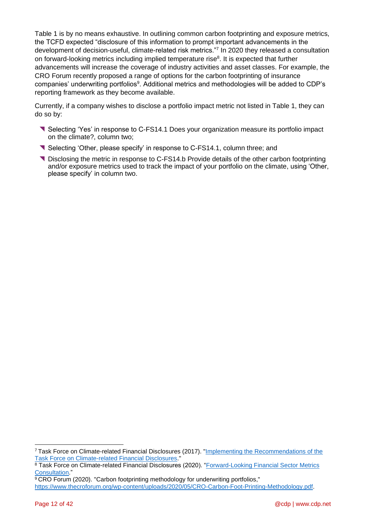Table 1 is by no means exhaustive. In outlining common carbon footprinting and exposure metrics, the TCFD expected "disclosure of this information to prompt important advancements in the development of decision-useful, climate-related risk metrics."<sup>7</sup> In 2020 they released a consultation on forward-looking metrics including implied temperature rise<sup>8</sup>. It is expected that further advancements will increase the coverage of industry activities and asset classes. For example, the CRO Forum recently proposed a range of options for the carbon footprinting of insurance companies' underwriting portfolios<sup>9</sup>. Additional metrics and methodologies will be added to CDP's reporting framework as they become available.

Currently, if a company wishes to disclose a portfolio impact metric not listed in Table 1, they can do so by:

- **Selecting 'Yes' in response to C-FS14.1 Does your organization measure its portfolio impact** on the climate?, column two;
- **Selecting 'Other, please specify' in response to C-FS14.1, column three; and**
- Disclosing the metric in response to C-FS14.b Provide details of the other carbon footprinting and/or exposure metrics used to track the impact of your portfolio on the climate, using 'Other, please specify' in column two.

<sup>7</sup> Task Force on Climate-related Financial Disclosures (2017). ["Implementing the Recommendations of the](https://www.fsb-tcfd.org/wp-content/uploads/2017/06/FINAL-TCFD-Annex-062817.pdf)  [Task Force on Climate-related Financial Disclosures.](https://www.fsb-tcfd.org/wp-content/uploads/2017/06/FINAL-TCFD-Annex-062817.pdf)"

<sup>8</sup> Task Force on Climate-related Financial Disclosures (2020). "Forward-Looking Financial Sector Metrics [Consultation."](https://assets.bbhub.io/company/sites/60/2020/09/2020-TCFD_Consultation-Forward-Looking-Financial-Sector-Metrics.pdf)

<sup>9</sup> CRO Forum (2020). "Carbon footprinting methodology for underwriting portfolios,"

[https://www.thecroforum.org/wp-content/uploads/2020/05/CRO-Carbon-Foot-Printing-Methodology.pdf.](https://www.thecroforum.org/wp-content/uploads/2020/05/CRO-Carbon-Foot-Printing-Methodology.pdf)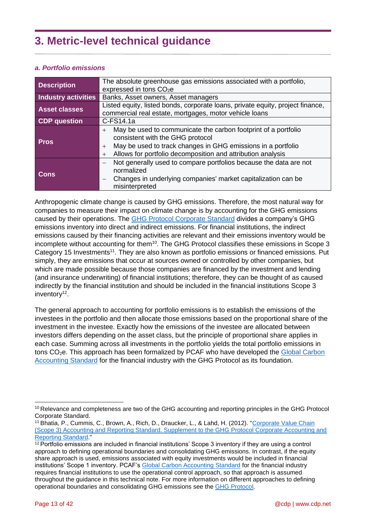## <span id="page-12-0"></span>**3. Metric-level technical guidance**

## <span id="page-12-1"></span>*a. Portfolio emissions*

| <b>Description</b>   | The absolute greenhouse gas emissions associated with a portfolio,<br>expressed in tons $CO2e$                                                                                                                                                               |  |  |  |
|----------------------|--------------------------------------------------------------------------------------------------------------------------------------------------------------------------------------------------------------------------------------------------------------|--|--|--|
| Industry activities  | Banks, Asset owners, Asset managers                                                                                                                                                                                                                          |  |  |  |
| <b>Asset classes</b> | Listed equity, listed bonds, corporate loans, private equity, project finance,<br>commercial real estate, mortgages, motor vehicle loans                                                                                                                     |  |  |  |
| <b>CDP</b> question  | $C$ -FS14.1a                                                                                                                                                                                                                                                 |  |  |  |
| <b>Pros</b>          | May be used to communicate the carbon footprint of a portfolio<br>$+$<br>consistent with the GHG protocol<br>May be used to track changes in GHG emissions in a portfolio<br>$^{+}$<br>Allows for portfolio decomposition and attribution analysis<br>$^{+}$ |  |  |  |
| <b>Cons</b>          | Not generally used to compare portfolios because the data are not<br>normalized<br>Changes in underlying companies' market capitalization can be<br>$\overline{\phantom{m}}$<br>misinterpreted                                                               |  |  |  |

Anthropogenic climate change is caused by GHG emissions. Therefore, the most natural way for companies to measure their impact on climate change is by accounting for the GHG emissions caused by their operations. The [GHG Protocol Corporate Standard](https://ghgprotocol.org/sites/default/files/standards/ghg-protocol-revised.pdf) divides a company's GHG emissions inventory into direct and indirect emissions. For financial institutions, the indirect emissions caused by their financing activities are relevant and their emissions inventory would be incomplete without accounting for them<sup>10</sup>. The GHG Protocol classifies these emissions in Scope 3 Category 15 Investments<sup>11</sup>. They are also known as portfolio emissions or financed emissions. Put simply, they are emissions that occur at sources owned or controlled by other companies, but which are made possible because those companies are financed by the investment and lending (and insurance underwriting) of financial institutions; therefore, they can be thought of as caused indirectly by the financial institution and should be included in the financial institutions Scope 3 inventory<sup>12</sup>.

The general approach to accounting for portfolio emissions is to establish the emissions of the investees in the portfolio and then allocate those emissions based on the proportional share of the investment in the investee. Exactly how the emissions of the investee are allocated between investors differs depending on the asset class, but the principle of proportional share applies in each case. Summing across all investments in the portfolio yields the total portfolio emissions in tons CO<sub>2</sub>e. This approach has been formalized by PCAF who have developed the Global Carbon [Accounting Standard](https://carbonaccountingfinancials.com/files/downloads/PCAF-Standard-public-consultation.pdf) for the financial industry with the GHG Protocol as its foundation.

<sup>10</sup> Relevance and completeness are two of the GHG accounting and reporting principles in the GHG Protocol Corporate Standard.

<sup>11</sup> Bhatia, P., Cummis, C., Brown, A., Rich, D., Draucker, L., & Lahd, H. (2012). ["Corporate Value Chain](https://ghgprotocol.org/sites/default/files/standards/Corporate-Value-Chain-Accounting-Reporing-Standard_041613_2.pdf)  [\(Scope 3\) Accounting and Reporting Standard. Supplement to the GHG Protocol Corporate Accounting and](https://ghgprotocol.org/sites/default/files/standards/Corporate-Value-Chain-Accounting-Reporing-Standard_041613_2.pdf)  [Reporting Standard.](https://ghgprotocol.org/sites/default/files/standards/Corporate-Value-Chain-Accounting-Reporing-Standard_041613_2.pdf)"

<sup>&</sup>lt;sup>12</sup> Portfolio emissions are included in financial institutions' Scope 3 inventory if they are using a control approach to defining operational boundaries and consolidating GHG emissions. In contrast, if the equity share approach is used, emissions associated with equity investments would be included in financial institutions' Scope 1 inventory. PCAF's [Global Carbon Accounting Standard](https://carbonaccountingfinancials.com/files/downloads/PCAF-Standard-public-consultation.pdf) for the financial industry requires financial institutions to use the operational control approach, so that approach is assumed throughout the guidance in this technical note. For more information on different approaches to defining operational boundaries and consolidating GHG emissions see the [GHG Protocol.](https://ghgprotocol.org/sites/default/files/standards/ghg-protocol-revised.pdf)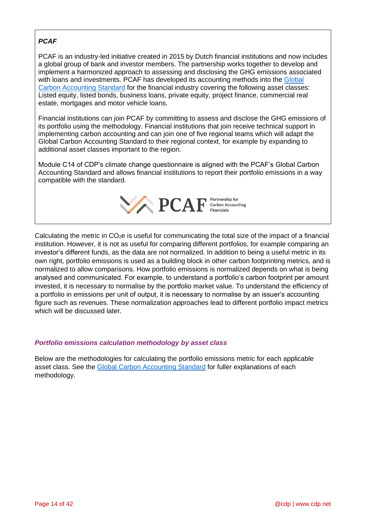## *PCAF*

PCAF is an industry-led initiative created in 2015 by Dutch financial institutions and now includes a global group of bank and investor members. The partnership works together to develop and implement a harmonized approach to assessing and disclosing the GHG emissions associated with loans and investments. PCAF has developed its accounting methods into the [Global](https://carbonaccountingfinancials.com/files/downloads/PCAF-Standard-public-consultation.pdf)  [Carbon Accounting Standard](https://carbonaccountingfinancials.com/files/downloads/PCAF-Standard-public-consultation.pdf) for the financial industry covering the following asset classes: Listed equity, listed bonds, business loans, private equity, project finance, commercial real estate, mortgages and motor vehicle loans.

Financial institutions can join PCAF by committing to assess and disclose the GHG emissions of its portfolio using the methodology. Financial institutions that join receive technical support in implementing carbon accounting and can join one of five regional teams which will adapt the Global Carbon Accounting Standard to their regional context, for example by expanding to additional asset classes important to the region.

Module C14 of CDP's climate change questionnaire is aligned with the PCAF's Global Carbon Accounting Standard and allows financial institutions to report their portfolio emissions in a way compatible with the standard.



Calculating the metric in  $CO<sub>2</sub>e$  is useful for communicating the total size of the impact of a financial institution. However, it is not as useful for comparing different portfolios, for example comparing an investor's different funds, as the data are not normalized. In addition to being a useful metric in its own right, portfolio emissions is used as a building block in other carbon footprinting metrics, and is normalized to allow comparisons. How portfolio emissions is normalized depends on what is being analysed and communicated. For example, to understand a portfolio's carbon footprint per amount invested, it is necessary to normalise by the portfolio market value. To understand the efficiency of a portfolio in emissions per unit of output, it is necessary to normalise by an issuer's accounting figure such as revenues. These normalization approaches lead to different portfolio impact metrics which will be discussed later.

## *Portfolio emissions calculation methodology by asset class*

Below are the methodologies for calculating the portfolio emissions metric for each applicable asset class. See the [Global Carbon Accounting](https://carbonaccountingfinancials.com/files/downloads/PCAF-Standard-public-consultation.pdf) Standard for fuller explanations of each methodology.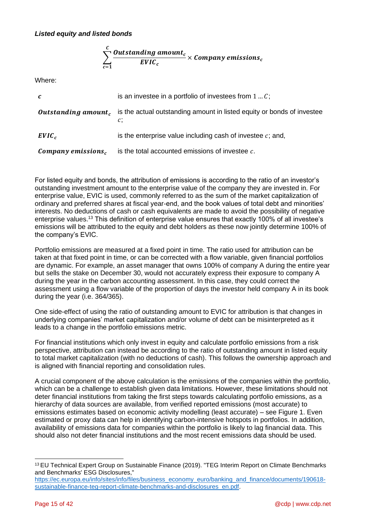## *Listed equity and listed bonds*

$$
\sum_{c=1}^{C} \frac{Outstanding amount_c}{EVIC_c} \times Company \text{ emissions}_c
$$

Where:

| $\mathcal{C}$      | is an investee in a portfolio of investees from $1C$ ;                                                     |
|--------------------|------------------------------------------------------------------------------------------------------------|
|                    | <b>Outstanding amount,</b> is the actual outstanding amount in listed equity or bonds of investee<br>$c$ ; |
| $EVIC_c$           | is the enterprise value including cash of investee $c$ ; and,                                              |
| Company emissions, | is the total accounted emissions of investee $c$ .                                                         |

For listed equity and bonds, the attribution of emissions is according to the ratio of an investor's outstanding investment amount to the enterprise value of the company they are invested in. For enterprise value, EVIC is used, commonly referred to as the sum of the market capitalization of ordinary and preferred shares at fiscal year-end, and the book values of total debt and minorities' interests. No deductions of cash or cash equivalents are made to avoid the possibility of negative enterprise values.<sup>13</sup> This definition of enterprise value ensures that exactly 100% of all investee's emissions will be attributed to the equity and debt holders as these now jointly determine 100% of the company's EVIC.

Portfolio emissions are measured at a fixed point in time. The ratio used for attribution can be taken at that fixed point in time, or can be corrected with a flow variable, given financial portfolios are dynamic. For example, an asset manager that owns 100% of company A during the entire year but sells the stake on December 30, would not accurately express their exposure to company A during the year in the carbon accounting assessment. In this case, they could correct the assessment using a flow variable of the proportion of days the investor held company A in its book during the year (i.e. 364/365).

One side-effect of using the ratio of outstanding amount to EVIC for attribution is that changes in underlying companies' market capitalization and/or volume of debt can be misinterpreted as it leads to a change in the portfolio emissions metric.

For financial institutions which only invest in equity and calculate portfolio emissions from a risk perspective, attribution can instead be according to the ratio of outstanding amount in listed equity to total market capitalization (with no deductions of cash). This follows the ownership approach and is aligned with financial reporting and consolidation rules.

A crucial component of the above calculation is the emissions of the companies within the portfolio, which can be a challenge to establish given data limitations. However, these limitations should not deter financial institutions from taking the first steps towards calculating portfolio emissions, as a hierarchy of data sources are available, from verified reported emissions (most accurate) to emissions estimates based on economic activity modelling (least accurate) – see Figure 1. Even estimated or proxy data can help in identifying carbon-intensive hotspots in portfolios. In addition, availability of emissions data for companies within the portfolio is likely to lag financial data. This should also not deter financial institutions and the most recent emissions data should be used.

<sup>13</sup> EU Technical Expert Group on Sustainable Finance (2019). "TEG Interim Report on Climate Benchmarks and Benchmarks' ESG Disclosures,"

[https://ec.europa.eu/info/sites/info/files/business\\_economy\\_euro/banking\\_and\\_finance/documents/190618](https://ec.europa.eu/info/sites/info/files/business_economy_euro/banking_and_finance/documents/190618-sustainable-finance-teg-report-climate-benchmarks-and-disclosures_en.pdf) [sustainable-finance-teg-report-climate-benchmarks-and-disclosures\\_en.pdf.](https://ec.europa.eu/info/sites/info/files/business_economy_euro/banking_and_finance/documents/190618-sustainable-finance-teg-report-climate-benchmarks-and-disclosures_en.pdf)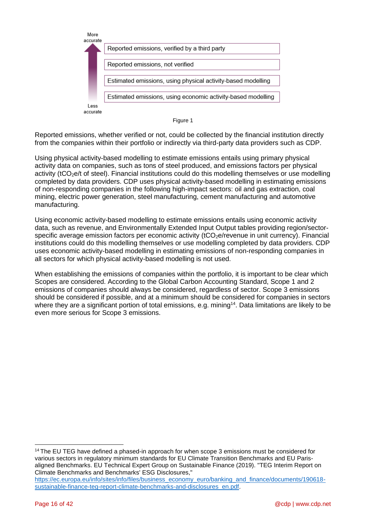

Figure 1

Reported emissions, whether verified or not, could be collected by the financial institution directly from the companies within their portfolio or indirectly via third-party data providers such as CDP.

Using physical activity-based modelling to estimate emissions entails using primary physical activity data on companies, such as tons of steel produced, and emissions factors per physical activity (tCO<sub>2</sub>e/t of steel). Financial institutions could do this modelling themselves or use modelling completed by data providers. CDP uses physical activity-based modelling in estimating emissions of non-responding companies in the following high-impact sectors: oil and gas extraction, coal mining, electric power generation, steel manufacturing, cement manufacturing and automotive manufacturing.

Using economic activity-based modelling to estimate emissions entails using economic activity data, such as revenue, and Environmentally Extended Input Output tables providing region/sectorspecific average emission factors per economic activity (tCO<sub>2</sub>e/revenue in unit currency). Financial institutions could do this modelling themselves or use modelling completed by data providers. CDP uses economic activity-based modelling in estimating emissions of non-responding companies in all sectors for which physical activity-based modelling is not used.

When establishing the emissions of companies within the portfolio, it is important to be clear which Scopes are considered. According to the Global Carbon Accounting Standard, Scope 1 and 2 emissions of companies should always be considered, regardless of sector. Scope 3 emissions should be considered if possible, and at a minimum should be considered for companies in sectors where they are a significant portion of total emissions, e.g. mining<sup>14</sup>. Data limitations are likely to be even more serious for Scope 3 emissions.

<sup>&</sup>lt;sup>14</sup> The EU TEG have defined a phased-in approach for when scope 3 emissions must be considered for various sectors in regulatory minimum standards for EU Climate Transition Benchmarks and EU Parisaligned Benchmarks. EU Technical Expert Group on Sustainable Finance (2019). "TEG Interim Report on Climate Benchmarks and Benchmarks' ESG Disclosures,"

[https://ec.europa.eu/info/sites/info/files/business\\_economy\\_euro/banking\\_and\\_finance/documents/190618](https://ec.europa.eu/info/sites/info/files/business_economy_euro/banking_and_finance/documents/190618-sustainable-finance-teg-report-climate-benchmarks-and-disclosures_en.pdf) [sustainable-finance-teg-report-climate-benchmarks-and-disclosures\\_en.pdf.](https://ec.europa.eu/info/sites/info/files/business_economy_euro/banking_and_finance/documents/190618-sustainable-finance-teg-report-climate-benchmarks-and-disclosures_en.pdf)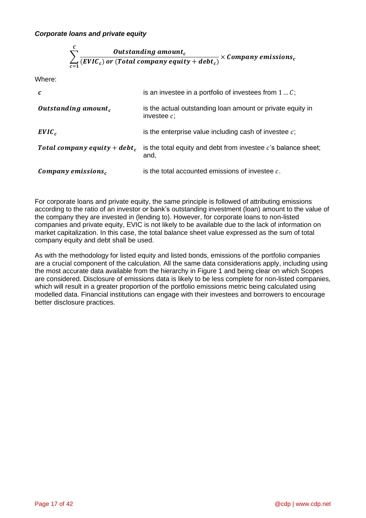## *Corporate loans and private equity*

$$
\sum_{c=1}^{C} \frac{Outside\,amount_c}{(EVIC_c) \text{ or } (Total\,onpany\, equity + debt_c)} \times Company\,emissions_c
$$

Where:

| $\boldsymbol{c}$                         | is an investee in a portfolio of investees from $1C$ ;                       |
|------------------------------------------|------------------------------------------------------------------------------|
| Outstanding amount <sub>c</sub>          | is the actual outstanding loan amount or private equity in<br>investee $c$ ; |
| $EVIC_c$                                 | is the enterprise value including cash of investee $c$ ;                     |
| Total company equity + debt <sub>c</sub> | is the total equity and debt from investee $c$ 's balance sheet;<br>and,     |
| Company emissions,                       | is the total accounted emissions of investee $c$ .                           |

For corporate loans and private equity, the same principle is followed of attributing emissions according to the ratio of an investor or bank's outstanding investment (loan) amount to the value of the company they are invested in (lending to). However, for corporate loans to non-listed companies and private equity, EVIC is not likely to be available due to the lack of information on market capitalization. In this case, the total balance sheet value expressed as the sum of total company equity and debt shall be used.

As with the methodology for listed equity and listed bonds, emissions of the portfolio companies are a crucial component of the calculation. All the same data considerations apply, including using the most accurate data available from the hierarchy in Figure 1 and being clear on which Scopes are considered. Disclosure of emissions data is likely to be less complete for non-listed companies, which will result in a greater proportion of the portfolio emissions metric being calculated using modelled data. Financial institutions can engage with their investees and borrowers to encourage better disclosure practices.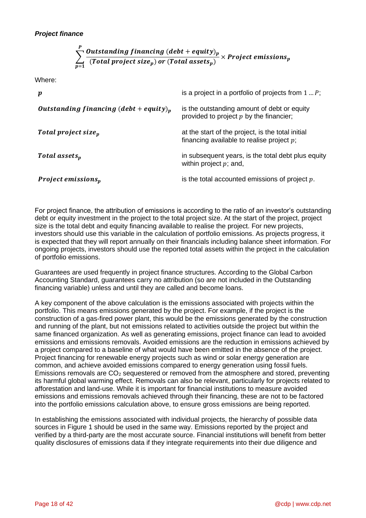#### $\sum_{i=1}^{n}$  Outstanding financing (debt + equity)<sub>p</sub> ( ) ( ) × P  $p=1$

Where:

| $\boldsymbol{p}$                                   | is a project in a portfolio of projects from $1 \dots P$ ;                                        |
|----------------------------------------------------|---------------------------------------------------------------------------------------------------|
| Outstanding financing (debt + equity) <sub>v</sub> | is the outstanding amount of debt or equity<br>provided to project $p$ by the financier;          |
| Total project size <sub>n</sub>                    | at the start of the project, is the total initial<br>financing available to realise project $p$ ; |
| Total assets <sub>n</sub>                          | in subsequent years, is the total debt plus equity<br>within project $p$ ; and,                   |
| <b>Project emissions</b> $_p$                      | is the total accounted emissions of project $p$ .                                                 |

For project finance, the attribution of emissions is according to the ratio of an investor's outstanding debt or equity investment in the project to the total project size. At the start of the project, project size is the total debt and equity financing available to realise the project. For new projects, investors should use this variable in the calculation of portfolio emissions. As projects progress, it is expected that they will report annually on their financials including balance sheet information. For ongoing projects, investors should use the reported total assets within the project in the calculation of portfolio emissions.

Guarantees are used frequently in project finance structures. According to the Global Carbon Accounting Standard, guarantees carry no attribution (so are not included in the Outstanding financing variable) unless and until they are called and become loans.

A key component of the above calculation is the emissions associated with projects within the portfolio. This means emissions generated by the project. For example, if the project is the construction of a gas-fired power plant, this would be the emissions generated by the construction and running of the plant, but not emissions related to activities outside the project but within the same financed organization. As well as generating emissions, project finance can lead to avoided emissions and emissions removals. Avoided emissions are the reduction in emissions achieved by a project compared to a baseline of what would have been emitted in the absence of the project. Project financing for renewable energy projects such as wind or solar energy generation are common, and achieve avoided emissions compared to energy generation using fossil fuels. Emissions removals are  $CO<sub>2</sub>$  sequestered or removed from the atmosphere and stored, preventing its harmful global warming effect. Removals can also be relevant, particularly for projects related to afforestation and land-use. While it is important for financial institutions to measure avoided emissions and emissions removals achieved through their financing, these are not to be factored into the portfolio emissions calculation above, to ensure gross emissions are being reported.

In establishing the emissions associated with individual projects, the hierarchy of possible data sources in Figure 1 should be used in the same way. Emissions reported by the project and verified by a third-party are the most accurate source. Financial institutions will benefit from better quality disclosures of emissions data if they integrate requirements into their due diligence and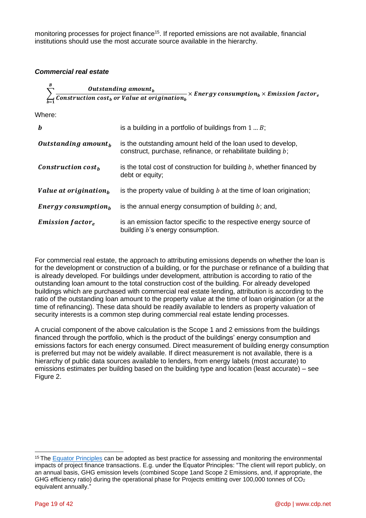monitoring processes for project finance<sup>15</sup>. If reported emissions are not available, financial institutions should use the most accurate source available in the hierarchy.

## *Commercial real estate*

|       | Outstanding amount<br>$\angle$ Construction cost <sub>h</sub> or Value at origination <sub>h</sub> | $\times$ Energy consumption <sub>h</sub> $\times$ Emission factor <sub>e</sub> |
|-------|----------------------------------------------------------------------------------------------------|--------------------------------------------------------------------------------|
| h≙r≙∙ |                                                                                                    |                                                                                |

Where:

| $\bm{b}$                            | is a building in a portfolio of buildings from $1B$ ;                                                                      |
|-------------------------------------|----------------------------------------------------------------------------------------------------------------------------|
| Outstanding amount $_h$             | is the outstanding amount held of the loan used to develop,<br>construct, purchase, refinance, or rehabilitate building b; |
| Construction $costh$                | is the total cost of construction for building $b$ , whether financed by<br>debt or equity;                                |
| Value at origination $_h$           | is the property value of building $b$ at the time of loan origination;                                                     |
| <b>Energy consumption</b> $_{h}$    | is the annual energy consumption of building $b$ ; and,                                                                    |
| <b>Emission factor</b> <sub>e</sub> | is an emission factor specific to the respective energy source of<br>building b's energy consumption.                      |

For commercial real estate, the approach to attributing emissions depends on whether the loan is for the development or construction of a building, or for the purchase or refinance of a building that is already developed. For buildings under development, attribution is according to ratio of the outstanding loan amount to the total construction cost of the building. For already developed buildings which are purchased with commercial real estate lending, attribution is according to the ratio of the outstanding loan amount to the property value at the time of loan origination (or at the time of refinancing). These data should be readily available to lenders as property valuation of security interests is a common step during commercial real estate lending processes.

A crucial component of the above calculation is the Scope 1 and 2 emissions from the buildings financed through the portfolio, which is the product of the buildings' energy consumption and emissions factors for each energy consumed. Direct measurement of building energy consumption is preferred but may not be widely available. If direct measurement is not available, there is a hierarchy of public data sources available to lenders, from energy labels (most accurate) to emissions estimates per building based on the building type and location (least accurate) – see Figure 2.

<sup>&</sup>lt;sup>15</sup> The [Equator Principles](https://equator-principles.com/wp-content/uploads/2020/05/The-Equator-Principles-July-2020-v2.pdf) can be adopted as best practice for assessing and monitoring the environmental impacts of project finance transactions. E.g. under the Equator Principles: "The client will report publicly, on an annual basis, GHG emission levels (combined Scope 1and Scope 2 Emissions, and, if appropriate, the GHG efficiency ratio) during the operational phase for Projects emitting over 100,000 tonnes of  $CO<sub>2</sub>$ equivalent annually."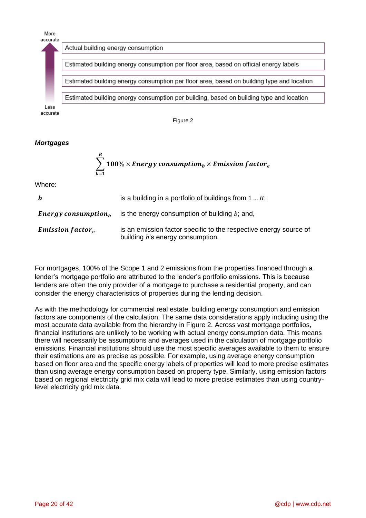

Figure 2

## *Mortgages*

 $\overline{R}$ 

$$
\sum_{b=1}^{B} 100\% \times Energy\ consumption_b \times Emission\ factor_e
$$

Where:

| $\bm{b}$                            | is a building in a portfolio of buildings from $1B$ ;                                                 |  |  |  |
|-------------------------------------|-------------------------------------------------------------------------------------------------------|--|--|--|
| <b>Energy consumption</b> $_h$      | is the energy consumption of building $b$ ; and,                                                      |  |  |  |
| <b>Emission factor</b> <sub>e</sub> | is an emission factor specific to the respective energy source of<br>building b's energy consumption. |  |  |  |

For mortgages, 100% of the Scope 1 and 2 emissions from the properties financed through a lender's mortgage portfolio are attributed to the lender's portfolio emissions. This is because lenders are often the only provider of a mortgage to purchase a residential property, and can consider the energy characteristics of properties during the lending decision.

As with the methodology for commercial real estate, building energy consumption and emission factors are components of the calculation. The same data considerations apply including using the most accurate data available from the hierarchy in Figure 2. Across vast mortgage portfolios, financial institutions are unlikely to be working with actual energy consumption data. This means there will necessarily be assumptions and averages used in the calculation of mortgage portfolio emissions. Financial institutions should use the most specific averages available to them to ensure their estimations are as precise as possible. For example, using average energy consumption based on floor area and the specific energy labels of properties will lead to more precise estimates than using average energy consumption based on property type. Similarly, using emission factors based on regional electricity grid mix data will lead to more precise estimates than using countrylevel electricity grid mix data.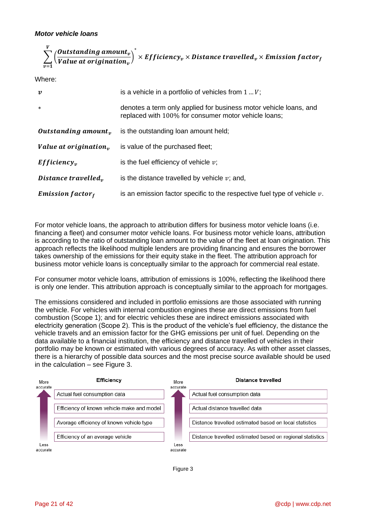$$
\sum_{v=1}^{V} \left(\frac{Outside\,at\,in\,g\,amount_v}{Value\,at\,origination_v}\right)^* \times Efficientcy_v \times Distance\,travelled_v \times Emission\,factor_f
$$

Where:

| $\boldsymbol{v}$                  | is a vehicle in a portfolio of vehicles from $1 \dots V$ ;                                                                |  |  |  |
|-----------------------------------|---------------------------------------------------------------------------------------------------------------------------|--|--|--|
| $\ast$                            | denotes a term only applied for business motor vehicle loans, and<br>replaced with 100% for consumer motor vehicle loans; |  |  |  |
| Outstanding amount <sub>n</sub>   | is the outstanding loan amount held;                                                                                      |  |  |  |
| Value at origination <sub>n</sub> | is value of the purchased fleet;                                                                                          |  |  |  |
| Efficiency <sub>v</sub>           | is the fuel efficiency of vehicle $v$ ;                                                                                   |  |  |  |
| Distance travelled <sub>n</sub>   | is the distance travelled by vehicle $v$ ; and,                                                                           |  |  |  |
| <b>Emission factor</b> $_f$       | is an emission factor specific to the respective fuel type of vehicle $v$ .                                               |  |  |  |

For motor vehicle loans, the approach to attribution differs for business motor vehicle loans (i.e. financing a fleet) and consumer motor vehicle loans. For business motor vehicle loans, attribution is according to the ratio of outstanding loan amount to the value of the fleet at loan origination. This approach reflects the likelihood multiple lenders are providing financing and ensures the borrower takes ownership of the emissions for their equity stake in the fleet. The attribution approach for business motor vehicle loans is conceptually similar to the approach for commercial real estate.

For consumer motor vehicle loans, attribution of emissions is 100%, reflecting the likelihood there is only one lender. This attribution approach is conceptually similar to the approach for mortgages.

The emissions considered and included in portfolio emissions are those associated with running the vehicle. For vehicles with internal combustion engines these are direct emissions from fuel combustion (Scope 1); and for electric vehicles these are indirect emissions associated with electricity generation (Scope 2). This is the product of the vehicle's fuel efficiency, the distance the vehicle travels and an emission factor for the GHG emissions per unit of fuel. Depending on the data available to a financial institution, the efficiency and distance travelled of vehicles in their portfolio may be known or estimated with various degrees of accuracy. As with other asset classes, there is a hierarchy of possible data sources and the most precise source available should be used in the calculation – see Figure 3.



Figure 3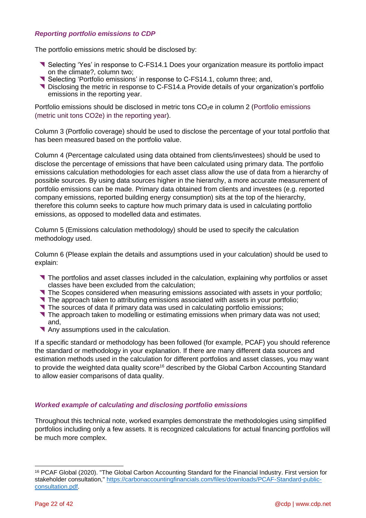## *Reporting portfolio emissions to CDP*

The portfolio emissions metric should be disclosed by:

- Selecting 'Yes' in response to C-FS14.1 Does your organization measure its portfolio impact on the climate?, column two;
- Selecting 'Portfolio emissions' in response to C-FS14.1, column three; and,
- **T** Disclosing the metric in response to C-FS14.a Provide details of your organization's portfolio emissions in the reporting year.

Portfolio emissions should be disclosed in metric tons  $CO<sub>2</sub>e$  in column 2 (Portfolio emissions (metric unit tons CO2e) in the reporting year).

Column 3 (Portfolio coverage) should be used to disclose the percentage of your total portfolio that has been measured based on the portfolio value.

Column 4 (Percentage calculated using data obtained from clients/investees) should be used to disclose the percentage of emissions that have been calculated using primary data. The portfolio emissions calculation methodologies for each asset class allow the use of data from a hierarchy of possible sources. By using data sources higher in the hierarchy, a more accurate measurement of portfolio emissions can be made. Primary data obtained from clients and investees (e.g. reported company emissions, reported building energy consumption) sits at the top of the hierarchy, therefore this column seeks to capture how much primary data is used in calculating portfolio emissions, as opposed to modelled data and estimates.

Column 5 (Emissions calculation methodology) should be used to specify the calculation methodology used.

Column 6 (Please explain the details and assumptions used in your calculation) should be used to explain:

- The portfolios and asset classes included in the calculation, explaining why portfolios or asset classes have been excluded from the calculation;
- The Scopes considered when measuring emissions associated with assets in your portfolio;
- The approach taken to attributing emissions associated with assets in your portfolio;
- The sources of data if primary data was used in calculating portfolio emissions;
- The approach taken to modelling or estimating emissions when primary data was not used; and,
- Any assumptions used in the calculation.

If a specific standard or methodology has been followed (for example, PCAF) you should reference the standard or methodology in your explanation. If there are many different data sources and estimation methods used in the calculation for different portfolios and asset classes, you may want to provide the weighted data quality score<sup>16</sup> described by the Global Carbon Accounting Standard to allow easier comparisons of data quality.

## <span id="page-21-0"></span>*Worked example of calculating and disclosing portfolio emissions*

Throughout this technical note, worked examples demonstrate the methodologies using simplified portfolios including only a few assets. It is recognized calculations for actual financing portfolios will be much more complex.

<sup>16</sup> PCAF Global (2020). "The Global Carbon Accounting Standard for the Financial Industry. First version for stakeholder consultation," [https://carbonaccountingfinancials.com/files/downloads/PCAF-Standard-public](https://carbonaccountingfinancials.com/files/downloads/PCAF-Standard-public-consultation.pdf)[consultation.pdf.](https://carbonaccountingfinancials.com/files/downloads/PCAF-Standard-public-consultation.pdf)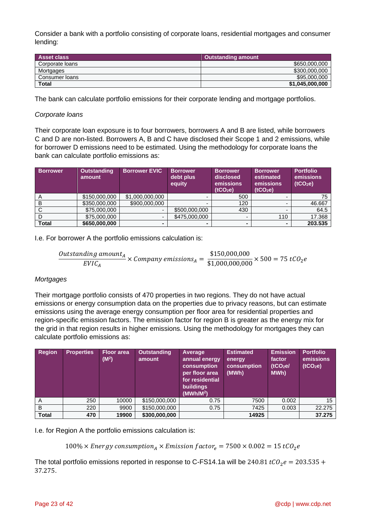Consider a bank with a portfolio consisting of corporate loans, residential mortgages and consumer lending:

| <b>Asset class</b> | <b>Outstanding amount</b> |
|--------------------|---------------------------|
| Corporate loans    | \$650,000,000             |
| Mortgages          | \$300,000,000             |
| Consumer Ioans     | \$95,000,000              |
| <b>Total</b>       | \$1,045,000,000           |

The bank can calculate portfolio emissions for their corporate lending and mortgage portfolios.

### *Corporate loans*

Their corporate loan exposure is to four borrowers, borrowers A and B are listed, while borrowers C and D are non-listed. Borrowers A, B and C have disclosed their Scope 1 and 2 emissions, while for borrower D emissions need to be estimated. Using the methodology for corporate loans the bank can calculate portfolio emissions as:

| <b>Borrower</b> | <b>Outstanding</b><br>amount | <b>Borrower EVIC</b>     | <b>Borrower</b><br>debt plus<br>equity | <b>Borrower</b><br>disclosed<br>emissions<br>(tCO <sub>2</sub> e) | <b>Borrower</b><br>estimated<br>emissions<br>(tCO <sub>2</sub> e) | <b>Portfolio</b><br>emissions<br>(tCO <sub>2</sub> e) |
|-----------------|------------------------------|--------------------------|----------------------------------------|-------------------------------------------------------------------|-------------------------------------------------------------------|-------------------------------------------------------|
| A               | \$150,000,000                | \$1,000,000,000          |                                        | 500                                                               |                                                                   | 75                                                    |
| В               | \$350,000,000                | \$900,000,000            |                                        | 120                                                               |                                                                   | 46.667                                                |
|                 | \$75,000,000                 | $\overline{\phantom{a}}$ | \$500,000,000                          | 430                                                               | -                                                                 | 64.5                                                  |
|                 | \$75,000,000                 | $\blacksquare$           | \$475,000,000                          | -                                                                 | 110                                                               | 17.368                                                |
| <b>Total</b>    | \$650,000,000                |                          |                                        |                                                                   |                                                                   | 203.535                                               |

I.e. For borrower A the portfolio emissions calculation is:

$$
\frac{Outstanding amount_A}{EVIC_A} \times Company\ emissions_A = \frac{$150,000,000}{$1,000,000,000} \times 500 = 75 tCO_2e
$$

### *Mortgages*

Their mortgage portfolio consists of 470 properties in two regions. They do not have actual emissions or energy consumption data on the properties due to privacy reasons, but can estimate emissions using the average energy consumption per floor area for residential properties and region-specific emission factors. The emission factor for region B is greater as the energy mix for the grid in that region results in higher emissions. Using the methodology for mortgages they can calculate portfolio emissions as:

| <b>Region</b> | <b>Properties</b> | <b>Floor</b> area<br>(M <sup>2</sup> ) | <b>Outstanding</b><br>amount | Average<br>annual energy<br>consumption<br>per floor area<br>for residential<br><b>buildings</b><br>(MWh/M <sup>2</sup> ) | <b>Estimated</b><br>energy<br>consumption<br>(MWh) | <b>Emission</b><br>factor<br>(tCO <sub>2</sub> el)<br>MWh) | <b>Portfolio</b><br>emissions<br>(tCO <sub>2</sub> e) |
|---------------|-------------------|----------------------------------------|------------------------------|---------------------------------------------------------------------------------------------------------------------------|----------------------------------------------------|------------------------------------------------------------|-------------------------------------------------------|
| A             | 250               | 10000                                  | \$150,000,000                | 0.75                                                                                                                      | 7500                                               | 0.002                                                      | 15                                                    |
| B             | 220               | 9900                                   | \$150,000,000                | 0.75                                                                                                                      | 7425                                               | 0.003                                                      | 22.275                                                |
| <b>Total</b>  | 470               | 19900                                  | \$300,000,000                |                                                                                                                           | 14925                                              |                                                            | 37.275                                                |

I.e. for Region A the portfolio emissions calculation is:

100%  $\times$  Energy consumption<sub>A</sub>  $\times$  Emission factor<sub>e</sub> = 7500  $\times$  0.002 = 15 tCO<sub>2</sub>e

The total portfolio emissions reported in response to C-FS14.1a will be 240.81  $tCO_2e = 203.535 +$ 37.275.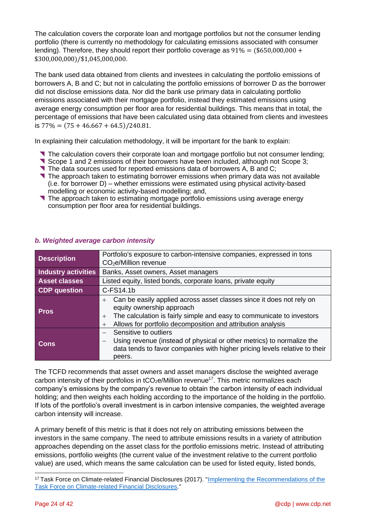The calculation covers the corporate loan and mortgage portfolios but not the consumer lending portfolio (there is currently no methodology for calculating emissions associated with consumer lending). Therefore, they should report their portfolio coverage as  $91\% = (15650,000,000 + 100)$ \$300,000,000)/\$1,045,000,000.

The bank used data obtained from clients and investees in calculating the portfolio emissions of borrowers A, B and C; but not in calculating the portfolio emissions of borrower D as the borrower did not disclose emissions data. Nor did the bank use primary data in calculating portfolio emissions associated with their mortgage portfolio, instead they estimated emissions using average energy consumption per floor area for residential buildings. This means that in total, the percentage of emissions that have been calculated using data obtained from clients and investees is  $77\% = (75 + 46.667 + 64.5)/240.81$ .

In explaining their calculation methodology, it will be important for the bank to explain:

- The calculation covers their corporate loan and mortgage portfolio but not consumer lending;
- Scope 1 and 2 emissions of their borrowers have been included, although not Scope 3;
- The data sources used for reported emissions data of borrowers A, B and C;
- The approach taken to estimating borrower emissions when primary data was not available (i.e. for borrower D) – whether emissions were estimated using physical activity-based modelling or economic activity-based modelling; and,
- The approach taken to estimating mortgage portfolio emissions using average energy consumption per floor area for residential buildings.

| <b>Description</b>   | Portfolio's exposure to carbon-intensive companies, expressed in tons                                                                                                                                                                                             |  |  |  |
|----------------------|-------------------------------------------------------------------------------------------------------------------------------------------------------------------------------------------------------------------------------------------------------------------|--|--|--|
|                      | CO <sub>2</sub> e/Million revenue                                                                                                                                                                                                                                 |  |  |  |
| Industry activities  | Banks, Asset owners, Asset managers                                                                                                                                                                                                                               |  |  |  |
| <b>Asset classes</b> | Listed equity, listed bonds, corporate loans, private equity                                                                                                                                                                                                      |  |  |  |
| <b>CDP</b> question  | C-FS14.1b                                                                                                                                                                                                                                                         |  |  |  |
| <b>Pros</b>          | Can be easily applied across asset classes since it does not rely on<br>$+$<br>equity ownership approach<br>The calculation is fairly simple and easy to communicate to investors<br>$+$<br>Allows for portfolio decomposition and attribution analysis<br>$^{+}$ |  |  |  |
| <b>Cons</b>          | Sensitive to outliers<br>Using revenue (instead of physical or other metrics) to normalize the<br>$\qquad \qquad -$<br>data tends to favor companies with higher pricing levels relative to their<br>peers.                                                       |  |  |  |

## <span id="page-23-0"></span>*b. Weighted average carbon intensity*

The TCFD recommends that asset owners and asset managers disclose the weighted average carbon intensity of their portfolios in  $tCO<sub>2</sub>e/Million$  revenue<sup>17</sup>. This metric normalizes each company's emissions by the company's revenue to obtain the carbon intensity of each individual holding; and then weights each holding according to the importance of the holding in the portfolio. If lots of the portfolio's overall investment is in carbon intensive companies, the weighted average carbon intensity will increase.

A primary benefit of this metric is that it does not rely on attributing emissions between the investors in the same company. The need to attribute emissions results in a variety of attribution approaches depending on the asset class for the portfolio emissions metric. Instead of attributing emissions, portfolio weights (the current value of the investment relative to the current portfolio value) are used, which means the same calculation can be used for listed equity, listed bonds,

<sup>&</sup>lt;sup>17</sup> Task Force on Climate-related Financial Disclosures (2017). "Implementing the Recommendations of the [Task Force on Climate-related Financial Disclosures.](https://www.fsb-tcfd.org/wp-content/uploads/2017/06/FINAL-TCFD-Annex-062817.pdf)"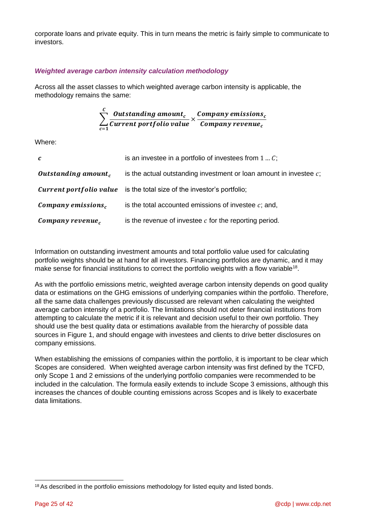corporate loans and private equity. This in turn means the metric is fairly simple to communicate to investors.

## *Weighted average carbon intensity calculation methodology*

Across all the asset classes to which weighted average carbon intensity is applicable, the methodology remains the same:

$$
\sum_{c=1}^{C} \frac{Outstanding amount_c}{Current portfolio value} \times \frac{ Company emissions_c}{ Company revenue_c}
$$

Where:

| $\mathbf{c}$                    | is an investee in a portfolio of investees from $1C$ ;                        |  |  |
|---------------------------------|-------------------------------------------------------------------------------|--|--|
| Outstanding amount <sub>c</sub> | is the actual outstanding investment or loan amount in investee $c$ ;         |  |  |
|                                 | <b>Current portfolio value</b> is the total size of the investor's portfolio; |  |  |
| Company emissions,              | is the total accounted emissions of investee $c$ ; and,                       |  |  |
| Company revenue <sub>c</sub>    | is the revenue of investee $c$ for the reporting period.                      |  |  |

Information on outstanding investment amounts and total portfolio value used for calculating portfolio weights should be at hand for all investors. Financing portfolios are dynamic, and it may make sense for financial institutions to correct the portfolio weights with a flow variable<sup>18</sup>.

As with the portfolio emissions metric, weighted average carbon intensity depends on good quality data or estimations on the GHG emissions of underlying companies within the portfolio. Therefore, all the same data challenges previously discussed are relevant when calculating the weighted average carbon intensity of a portfolio. The limitations should not deter financial institutions from attempting to calculate the metric if it is relevant and decision useful to their own portfolio. They should use the best quality data or estimations available from the hierarchy of possible data sources in Figure 1, and should engage with investees and clients to drive better disclosures on company emissions.

When establishing the emissions of companies within the portfolio, it is important to be clear which Scopes are considered. When weighted average carbon intensity was first defined by the TCFD, only Scope 1 and 2 emissions of the underlying portfolio companies were recommended to be included in the calculation. The formula easily extends to include Scope 3 emissions, although this increases the chances of double counting emissions across Scopes and is likely to exacerbate data limitations.

<sup>&</sup>lt;sup>18</sup> As described in the portfolio emissions methodology for listed equity and listed bonds.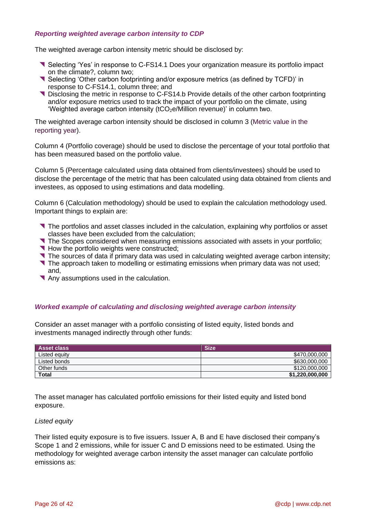## *Reporting weighted average carbon intensity to CDP*

The weighted average carbon intensity metric should be disclosed by:

- Selecting 'Yes' in response to C-FS14.1 Does your organization measure its portfolio impact on the climate?, column two;
- Selecting 'Other carbon footprinting and/or exposure metrics (as defined by TCFD)' in response to C-FS14.1, column three; and
- Disclosing the metric in response to C-FS14.b Provide details of the other carbon footprinting and/or exposure metrics used to track the impact of your portfolio on the climate, using 'Weighted average carbon intensity (tCO<sub>2</sub>e/Million revenue)' in column two.

The weighted average carbon intensity should be disclosed in column 3 (Metric value in the reporting year).

Column 4 (Portfolio coverage) should be used to disclose the percentage of your total portfolio that has been measured based on the portfolio value.

Column 5 (Percentage calculated using data obtained from clients/investees) should be used to disclose the percentage of the metric that has been calculated using data obtained from clients and investees, as opposed to using estimations and data modelling.

Column 6 (Calculation methodology) should be used to explain the calculation methodology used. Important things to explain are:

- The portfolios and asset classes included in the calculation, explaining why portfolios or asset classes have been excluded from the calculation;
- The Scopes considered when measuring emissions associated with assets in your portfolio;
- How the portfolio weights were constructed;
- The sources of data if primary data was used in calculating weighted average carbon intensity;
- The approach taken to modelling or estimating emissions when primary data was not used; and,
- Any assumptions used in the calculation.

## <span id="page-25-0"></span>*Worked example of calculating and disclosing weighted average carbon intensity*

Consider an asset manager with a portfolio consisting of listed equity, listed bonds and investments managed indirectly through other funds:

| <b>Asset class</b> | <b>Size</b>     |
|--------------------|-----------------|
| Listed equity      | \$470,000,000   |
| Listed bonds       | \$630,000,000   |
| Other funds        | \$120,000,000   |
| <b>Total</b>       | \$1,220,000,000 |

The asset manager has calculated portfolio emissions for their listed equity and listed bond exposure.

#### *Listed equity*

Their listed equity exposure is to five issuers. Issuer A, B and E have disclosed their company's Scope 1 and 2 emissions, while for issuer C and D emissions need to be estimated. Using the methodology for weighted average carbon intensity the asset manager can calculate portfolio emissions as: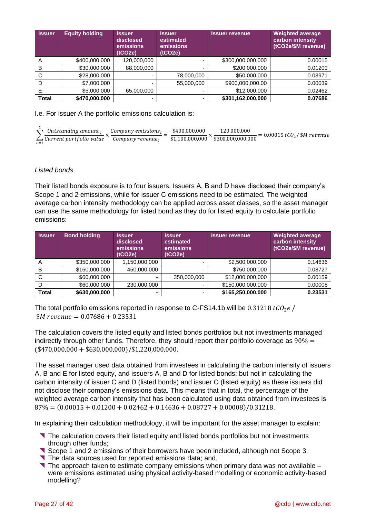| <b>Issuer</b> | <b>Equity holding</b> | <b>Issuer</b><br>disclosed<br>emissions<br>(tCO2e) | <b>Issuer</b><br>estimated<br>emissions<br>(tCO2e) | <b>Issuer revenue</b> | <b>Weighted average</b><br>carbon intensity<br>(tCO2e/\$M revenue) |
|---------------|-----------------------|----------------------------------------------------|----------------------------------------------------|-----------------------|--------------------------------------------------------------------|
| A             | \$400,000,000         | 120,000,000                                        |                                                    | \$300,000,000,000     | 0.00015                                                            |
| в             | \$30,000,000          | 88,000,000                                         | -                                                  | \$200,000,000         | 0.01200                                                            |
| С             | \$28,000,000          |                                                    | 78,000,000                                         | \$50,000,000          | 0.03971                                                            |
| D             | \$7,000,000           | $\overline{\phantom{0}}$                           | 55,000,000                                         | \$900,000,000.00      | 0.00039                                                            |
|               | \$5,000,000           | 65,000,000                                         | ٠                                                  | \$12,000,000          | 0.02462                                                            |
| Total         | \$470,000,000         |                                                    | $\blacksquare$                                     | \$301,162,000,000     | 0.07686                                                            |

I.e. For issuer A the portfolio emissions calculation is:

| $\sum$ Outstanding amount, Company emissions, |                              | \$400,000,000 | 120.000.000                                               | $= 0.00015 tCO2/$ \$M revenue |
|-----------------------------------------------|------------------------------|---------------|-----------------------------------------------------------|-------------------------------|
| $\Delta$ Current portfolio value              | Company revenue <sub>c</sub> |               | $\frac{1}{2}$ \$1,100,000,000 $\hat{ }$ \$300,000,000,000 |                               |

## *Listed bonds*

Their listed bonds exposure is to four issuers. Issuers A, B and D have disclosed their company's Scope 1 and 2 emissions, while for issuer C emissions need to be estimated. The weighted average carbon intensity methodology can be applied across asset classes, so the asset manager can use the same methodology for listed bond as they do for listed equity to calculate portfolio emissions:

| <b>Issuer</b> | <b>Bond holding</b> | <b>Issuer</b><br>disclosed<br>emissions<br>(tCO2e) | <b>Issuer</b><br>estimated<br>emissions<br>(tCO2e) | <b>Issuer revenue</b> | <b>Weighted average</b><br>carbon intensity<br>(tCO2e/\$M revenue) |
|---------------|---------------------|----------------------------------------------------|----------------------------------------------------|-----------------------|--------------------------------------------------------------------|
| A             | \$350,000,000       | 1,150,000,000                                      |                                                    | \$2,500,000,000       | 0.14636                                                            |
| В             | \$160,000,000       | 450,000,000                                        |                                                    | \$750,000,000         | 0.08727                                                            |
| С             | \$60,000,000        |                                                    | 350,000,000                                        | \$12,000,000,000      | 0.00159                                                            |
| D             | \$60,000,000        | 230,000,000                                        |                                                    | \$150,000,000,000     | 0.00008                                                            |
| <b>Total</b>  | \$630,000,000       |                                                    |                                                    | \$165,250,000,000     | 0.23531                                                            |

The total portfolio emissions reported in response to C-FS14.1b will be 0.31218  $tCO<sub>2</sub>e$  /  $$M$  revenue = 0.07686 + 0.23531

The calculation covers the listed equity and listed bonds portfolios but not investments managed indirectly through other funds. Therefore, they should report their portfolio coverage as  $90\% =$  $($470,000,000 + $630,000,000)/$1,220,000,000.$ 

The asset manager used data obtained from investees in calculating the carbon intensity of issuers A, B and E for listed equity, and issuers A, B and D for listed bonds; but not in calculating the carbon intensity of issuer C and D (listed bonds) and issuer C (listed equity) as these issuers did not disclose their company's emissions data. This means that in total, the percentage of the weighted average carbon intensity that has been calculated using data obtained from investees is  $87\% = (0.00015 + 0.01200 + 0.02462 + 0.14636 + 0.08727 + 0.00008)/0.31218.$ 

In explaining their calculation methodology, it will be important for the asset manager to explain:

- The calculation covers their listed equity and listed bonds portfolios but not investments through other funds;
- Scope 1 and 2 emissions of their borrowers have been included, although not Scope 3;
- The data sources used for reported emissions data; and,
- The approach taken to estimate company emissions when primary data was not available  $$ were emissions estimated using physical activity-based modelling or economic activity-based modelling?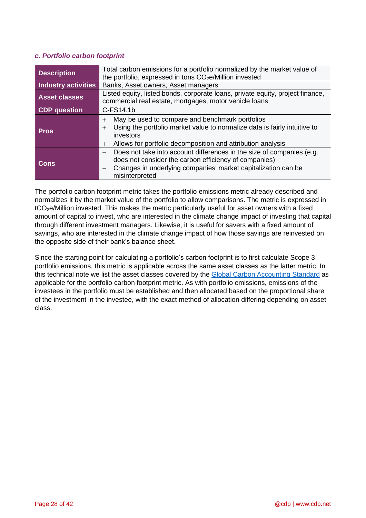## <span id="page-27-0"></span>*c. Portfolio carbon footprint*

| <b>Description</b>         | Total carbon emissions for a portfolio normalized by the market value of<br>the portfolio, expressed in tons CO <sub>2</sub> e/Million invested                                                                                  |  |  |  |  |  |
|----------------------------|----------------------------------------------------------------------------------------------------------------------------------------------------------------------------------------------------------------------------------|--|--|--|--|--|
| <b>Industry activities</b> | Banks, Asset owners, Asset managers                                                                                                                                                                                              |  |  |  |  |  |
| <b>Asset classes</b>       | Listed equity, listed bonds, corporate loans, private equity, project finance,<br>commercial real estate, mortgages, motor vehicle loans                                                                                         |  |  |  |  |  |
| CDP question               | C-FS14.1b                                                                                                                                                                                                                        |  |  |  |  |  |
| <b>Pros</b>                | May be used to compare and benchmark portfolios<br>$+$<br>Using the portfolio market value to normalize data is fairly intuitive to<br>$+$<br>investors<br>Allows for portfolio decomposition and attribution analysis<br>$^{+}$ |  |  |  |  |  |
| <b>Cons</b>                | Does not take into account differences in the size of companies (e.g.<br>does not consider the carbon efficiency of companies)<br>Changes in underlying companies' market capitalization can be<br>misinterpreted                |  |  |  |  |  |

The portfolio carbon footprint metric takes the portfolio emissions metric already described and normalizes it by the market value of the portfolio to allow comparisons. The metric is expressed in tCO2e/Million invested. This makes the metric particularly useful for asset owners with a fixed amount of capital to invest, who are interested in the climate change impact of investing that capital through different investment managers. Likewise, it is useful for savers with a fixed amount of savings, who are interested in the climate change impact of how those savings are reinvested on the opposite side of their bank's balance sheet.

Since the starting point for calculating a portfolio's carbon footprint is to first calculate Scope 3 portfolio emissions, this metric is applicable across the same asset classes as the latter metric. In this technical note we list the asset classes covered by the [Global Carbon Accounting Standard](https://carbonaccountingfinancials.com/files/downloads/PCAF-Standard-public-consultation.pdf) as applicable for the portfolio carbon footprint metric. As with portfolio emissions, emissions of the investees in the portfolio must be established and then allocated based on the proportional share of the investment in the investee, with the exact method of allocation differing depending on asset class.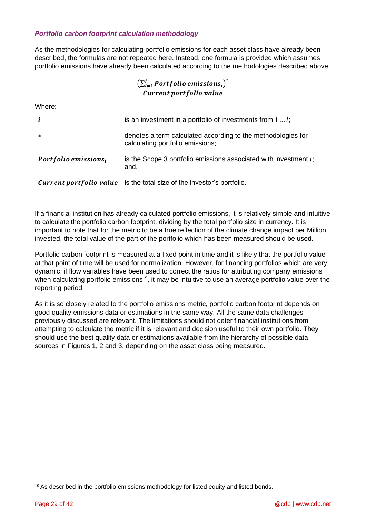## *Portfolio carbon footprint calculation methodology*

As the methodologies for calculating portfolio emissions for each asset class have already been described, the formulas are not repeated here. Instead, one formula is provided which assumes portfolio emissions have already been calculated according to the methodologies described above.

## $\left(\sum_{i=1}^{I}\text{Portfolio emissions}_i\right)^{*}$ Current portfolio value

Where:

| i                    | is an investment in a portfolio of investments from $11$ ;                                       |
|----------------------|--------------------------------------------------------------------------------------------------|
| $\ast$               | denotes a term calculated according to the methodologies for<br>calculating portfolio emissions; |
| Portfolio emissions, | is the Scope 3 portfolio emissions associated with investment $i$ ;<br>and,                      |
|                      | <b>Current portfolio value</b> is the total size of the investor's portfolio.                    |

If a financial institution has already calculated portfolio emissions, it is relatively simple and intuitive to calculate the portfolio carbon footprint, dividing by the total portfolio size in currency. It is important to note that for the metric to be a true reflection of the climate change impact per Million invested, the total value of the part of the portfolio which has been measured should be used.

Portfolio carbon footprint is measured at a fixed point in time and it is likely that the portfolio value at that point of time will be used for normalization. However, for financing portfolios which are very dynamic, if flow variables have been used to correct the ratios for attributing company emissions when calculating portfolio emissions<sup>19</sup>, it may be intuitive to use an average portfolio value over the reporting period.

As it is so closely related to the portfolio emissions metric, portfolio carbon footprint depends on good quality emissions data or estimations in the same way. All the same data challenges previously discussed are relevant. The limitations should not deter financial institutions from attempting to calculate the metric if it is relevant and decision useful to their own portfolio. They should use the best quality data or estimations available from the hierarchy of possible data sources in Figures 1, 2 and 3, depending on the asset class being measured.

<sup>&</sup>lt;sup>19</sup> As described in the portfolio emissions methodology for listed equity and listed bonds.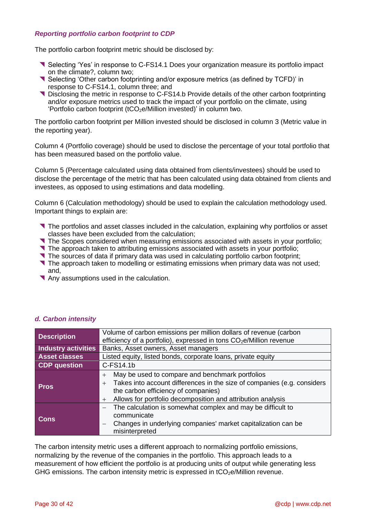## *Reporting portfolio carbon footprint to CDP*

The portfolio carbon footprint metric should be disclosed by:

- Selecting 'Yes' in response to C-FS14.1 Does your organization measure its portfolio impact on the climate?, column two;
- Selecting 'Other carbon footprinting and/or exposure metrics (as defined by TCFD)' in response to C-FS14.1, column three; and
- Disclosing the metric in response to C-FS14.b Provide details of the other carbon footprinting and/or exposure metrics used to track the impact of your portfolio on the climate, using 'Portfolio carbon footprint (tCO<sub>2</sub>e/Million invested)' in column two.

The portfolio carbon footprint per Million invested should be disclosed in column 3 (Metric value in the reporting year).

Column 4 (Portfolio coverage) should be used to disclose the percentage of your total portfolio that has been measured based on the portfolio value.

Column 5 (Percentage calculated using data obtained from clients/investees) should be used to disclose the percentage of the metric that has been calculated using data obtained from clients and investees, as opposed to using estimations and data modelling.

Column 6 (Calculation methodology) should be used to explain the calculation methodology used. Important things to explain are:

- The portfolios and asset classes included in the calculation, explaining why portfolios or asset classes have been excluded from the calculation;
- The Scopes considered when measuring emissions associated with assets in your portfolio;
- The approach taken to attributing emissions associated with assets in your portfolio;
- The sources of data if primary data was used in calculating portfolio carbon footprint;
- The approach taken to modelling or estimating emissions when primary data was not used; and,
- Any assumptions used in the calculation.

| <b>Description</b>         | Volume of carbon emissions per million dollars of revenue (carbon<br>efficiency of a portfolio), expressed in tons CO <sub>2</sub> e/Million revenue                                                                                                     |  |  |  |  |
|----------------------------|----------------------------------------------------------------------------------------------------------------------------------------------------------------------------------------------------------------------------------------------------------|--|--|--|--|
| <b>Industry activities</b> | Banks, Asset owners, Asset managers                                                                                                                                                                                                                      |  |  |  |  |
| <b>Asset classes</b>       | Listed equity, listed bonds, corporate loans, private equity                                                                                                                                                                                             |  |  |  |  |
| <b>CDP</b> question        | C-FS14.1b                                                                                                                                                                                                                                                |  |  |  |  |
| <b>Pros</b>                | May be used to compare and benchmark portfolios<br>$+$<br>Takes into account differences in the size of companies (e.g. considers<br>$+$<br>the carbon efficiency of companies)<br>Allows for portfolio decomposition and attribution analysis<br>$^{+}$ |  |  |  |  |
| <b>Cons</b>                | The calculation is somewhat complex and may be difficult to<br>communicate<br>Changes in underlying companies' market capitalization can be<br>$\overline{\phantom{m}}$<br>misinterpreted                                                                |  |  |  |  |

## <span id="page-29-0"></span>*d. Carbon intensity*

The carbon intensity metric uses a different approach to normalizing portfolio emissions, normalizing by the revenue of the companies in the portfolio. This approach leads to a measurement of how efficient the portfolio is at producing units of output while generating less GHG emissions. The carbon intensity metric is expressed in  $tCO<sub>2</sub>e/M$ illion revenue.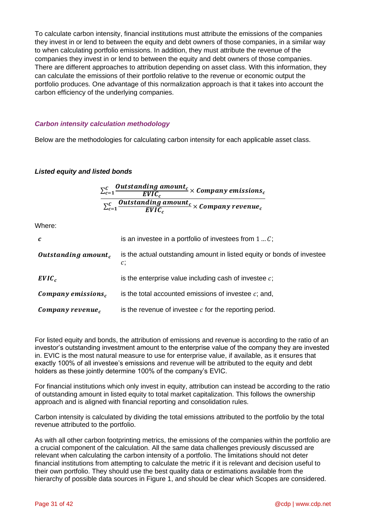To calculate carbon intensity, financial institutions must attribute the emissions of the companies they invest in or lend to between the equity and debt owners of those companies, in a similar way to when calculating portfolio emissions. In addition, they must attribute the revenue of the companies they invest in or lend to between the equity and debt owners of those companies. There are different approaches to attribution depending on asset class. With this information, they can calculate the emissions of their portfolio relative to the revenue or economic output the portfolio produces. One advantage of this normalization approach is that it takes into account the carbon efficiency of the underlying companies.

## *Carbon intensity calculation methodology*

Below are the methodologies for calculating carbon intensity for each applicable asset class.

### *Listed equity and listed bonds*

$$
\frac{\sum_{c=1}^{C} \frac{Outside\sum_{c=1}^{C} Untstanding amount_c}{EVIC_c} \times Company emissions_c}{\sum_{c=1}^{C} \frac{Outstanding amount_c}{EVIC_c} \times Company revenue_c}
$$

Where:

| $\mathcal{C}$                   | is an investee in a portfolio of investees from $1C$ ;                       |
|---------------------------------|------------------------------------------------------------------------------|
| Outstanding amount <sub>c</sub> | is the actual outstanding amount in listed equity or bonds of investee<br>c; |
| $EVIC_c$                        | is the enterprise value including cash of investee $c$ ;                     |
| Company emissions,              | is the total accounted emissions of investee $c$ ; and,                      |
| Company revenue.                | is the revenue of investee $c$ for the reporting period.                     |

For listed equity and bonds, the attribution of emissions and revenue is according to the ratio of an investor's outstanding investment amount to the enterprise value of the company they are invested in. EVIC is the most natural measure to use for enterprise value, if available, as it ensures that exactly 100% of all investee's emissions and revenue will be attributed to the equity and debt holders as these jointly determine 100% of the company's EVIC.

For financial institutions which only invest in equity, attribution can instead be according to the ratio of outstanding amount in listed equity to total market capitalization. This follows the ownership approach and is aligned with financial reporting and consolidation rules.

Carbon intensity is calculated by dividing the total emissions attributed to the portfolio by the total revenue attributed to the portfolio.

As with all other carbon footprinting metrics, the emissions of the companies within the portfolio are a crucial component of the calculation. All the same data challenges previously discussed are relevant when calculating the carbon intensity of a portfolio. The limitations should not deter financial institutions from attempting to calculate the metric if it is relevant and decision useful to their own portfolio. They should use the best quality data or estimations available from the hierarchy of possible data sources in Figure 1, and should be clear which Scopes are considered.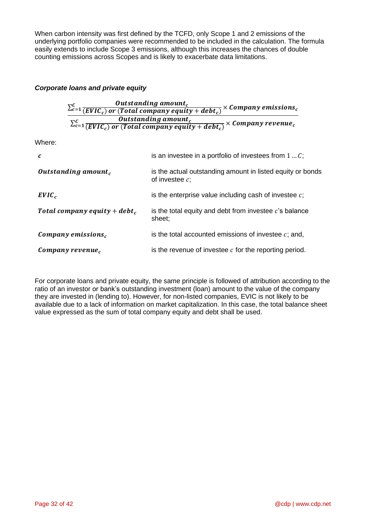When carbon intensity was first defined by the TCFD, only Scope 1 and 2 emissions of the underlying portfolio companies were recommended to be included in the calculation. The formula easily extends to include Scope 3 emissions, although this increases the chances of double counting emissions across Scopes and is likely to exacerbate data limitations.

## *Corporate loans and private equity*

 $\sum_{c=1}^{C} \frac{Outside\frac{1}{C}$  $\frac{c}{c} = 1} \frac{S}{c} \frac{U}{C} \frac{U}{C} \frac{U}{C} \frac{U}{C} \frac{U}{C} \frac{U}{C} \frac{U}{C} \frac{U}{C} \frac{U}{C} \frac{U}{C} \frac{U}{C} \frac{U}{C} \frac{U}{C} \frac{U}{C} \frac{U}{C} \frac{U}{C} \frac{U}{C} \frac{U}{C} \frac{U}{C} \frac{U}{C} \frac{U}{C} \frac{U}{C} \frac{U}{C} \frac{U}{C} \frac{U}{C} \frac{U}{C} \frac{U}{C} \frac{U}{C} \frac{U}{C$  $\sum_{c=1}^{C} \frac{Outside\frac{1}{C}$  $\frac{c}{c}$  outstanding amount  $\frac{c}{c}$   $\times$  Company revenue  $\frac{c}{c}$ 

Where:

| $\boldsymbol{c}$                | is an investee in a portfolio of investees from $1c$ ;                          |
|---------------------------------|---------------------------------------------------------------------------------|
| Outstanding amount <sub>c</sub> | is the actual outstanding amount in listed equity or bonds<br>of investee $c$ ; |
| $EVIC_c$                        | is the enterprise value including cash of investee $c$ ;                        |
| Total company equity + $debt_c$ | is the total equity and debt from investee $c$ 's balance<br>sheet;             |
| Company emissions,              | is the total accounted emissions of investee $c$ ; and,                         |
| $\mathcal{L}$ ompany revenue,   | is the revenue of investee $c$ for the reporting period.                        |

For corporate loans and private equity, the same principle is followed of attribution according to the ratio of an investor or bank's outstanding investment (loan) amount to the value of the company they are invested in (lending to). However, for non-listed companies, EVIC is not likely to be available due to a lack of information on market capitalization. In this case, the total balance sheet value expressed as the sum of total company equity and debt shall be used.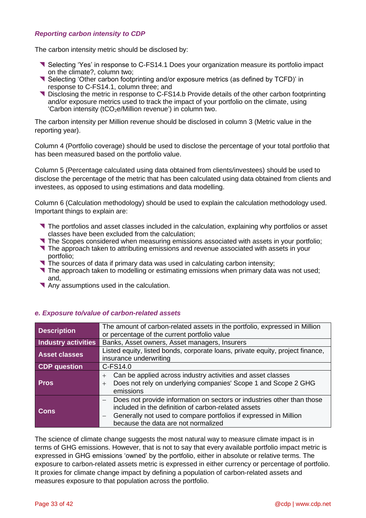## *Reporting carbon intensity to CDP*

The carbon intensity metric should be disclosed by:

- Selecting 'Yes' in response to C-FS14.1 Does your organization measure its portfolio impact on the climate?, column two;
- Selecting 'Other carbon footprinting and/or exposure metrics (as defined by TCFD)' in response to C-FS14.1, column three; and
- Disclosing the metric in response to C-FS14.b Provide details of the other carbon footprinting and/or exposure metrics used to track the impact of your portfolio on the climate, using 'Carbon intensity (tCO<sub>2</sub>e/Million revenue') in column two.

The carbon intensity per Million revenue should be disclosed in column 3 (Metric value in the reporting year).

Column 4 (Portfolio coverage) should be used to disclose the percentage of your total portfolio that has been measured based on the portfolio value.

Column 5 (Percentage calculated using data obtained from clients/investees) should be used to disclose the percentage of the metric that has been calculated using data obtained from clients and investees, as opposed to using estimations and data modelling.

Column 6 (Calculation methodology) should be used to explain the calculation methodology used. Important things to explain are:

- The portfolios and asset classes included in the calculation, explaining why portfolios or asset classes have been excluded from the calculation;
- The Scopes considered when measuring emissions associated with assets in your portfolio;
- **The approach taken to attributing emissions and revenue associated with assets in your** portfolio;
- The sources of data if primary data was used in calculating carbon intensity;
- **The approach taken to modelling or estimating emissions when primary data was not used;** and,
- Any assumptions used in the calculation.

| <b>Description</b>   | The amount of carbon-related assets in the portfolio, expressed in Million<br>or percentage of the current portfolio value                                                                                                                                           |  |  |  |  |  |
|----------------------|----------------------------------------------------------------------------------------------------------------------------------------------------------------------------------------------------------------------------------------------------------------------|--|--|--|--|--|
| Industry activities  | Banks, Asset owners, Asset managers, Insurers                                                                                                                                                                                                                        |  |  |  |  |  |
| <b>Asset classes</b> | Listed equity, listed bonds, corporate loans, private equity, project finance,<br>insurance underwriting                                                                                                                                                             |  |  |  |  |  |
| <b>CDP</b> question  | C-FS14.0                                                                                                                                                                                                                                                             |  |  |  |  |  |
| <b>Pros</b>          | Can be applied across industry activities and asset classes<br>$^{+}$<br>Does not rely on underlying companies' Scope 1 and Scope 2 GHG<br>$^{+}$<br>emissions                                                                                                       |  |  |  |  |  |
| <b>Cons</b>          | Does not provide information on sectors or industries other than those<br>$\overline{\phantom{0}}$<br>included in the definition of carbon-related assets<br>Generally not used to compare portfolios if expressed in Million<br>because the data are not normalized |  |  |  |  |  |

### <span id="page-32-0"></span>*e. Exposure to/value of carbon-related assets*

The science of climate change suggests the most natural way to measure climate impact is in terms of GHG emissions. However, that is not to say that every available portfolio impact metric is expressed in GHG emissions 'owned' by the portfolio, either in absolute or relative terms. The exposure to carbon-related assets metric is expressed in either currency or percentage of portfolio. It proxies for climate change impact by defining a population of carbon-related assets and measures exposure to that population across the portfolio.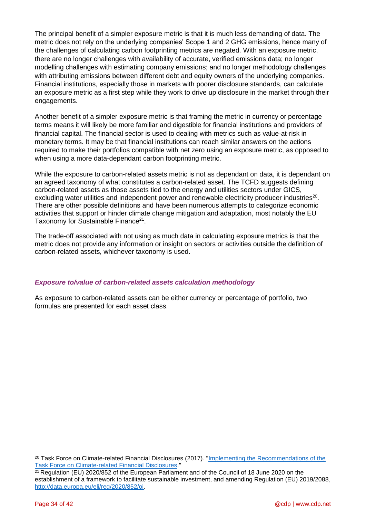The principal benefit of a simpler exposure metric is that it is much less demanding of data. The metric does not rely on the underlying companies' Scope 1 and 2 GHG emissions, hence many of the challenges of calculating carbon footprinting metrics are negated. With an exposure metric, there are no longer challenges with availability of accurate, verified emissions data; no longer modelling challenges with estimating company emissions; and no longer methodology challenges with attributing emissions between different debt and equity owners of the underlying companies. Financial institutions, especially those in markets with poorer disclosure standards, can calculate an exposure metric as a first step while they work to drive up disclosure in the market through their engagements.

Another benefit of a simpler exposure metric is that framing the metric in currency or percentage terms means it will likely be more familiar and digestible for financial institutions and providers of financial capital. The financial sector is used to dealing with metrics such as value-at-risk in monetary terms. It may be that financial institutions can reach similar answers on the actions required to make their portfolios compatible with net zero using an exposure metric, as opposed to when using a more data-dependant carbon footprinting metric.

While the exposure to carbon-related assets metric is not as dependant on data, it is dependant on an agreed taxonomy of what constitutes a carbon-related asset. The TCFD suggests defining carbon-related assets as those assets tied to the energy and utilities sectors under GICS, excluding water utilities and independent power and renewable electricity producer industries<sup>20</sup>. There are other possible definitions and have been numerous attempts to categorize economic activities that support or hinder climate change mitigation and adaptation, most notably the EU Taxonomy for Sustainable Finance<sup>21</sup>.

The trade-off associated with not using as much data in calculating exposure metrics is that the metric does not provide any information or insight on sectors or activities outside the definition of carbon-related assets, whichever taxonomy is used.

## *Exposure to/value of carbon-related assets calculation methodology*

As exposure to carbon-related assets can be either currency or percentage of portfolio, two formulas are presented for each asset class.

<sup>20</sup> Task Force on Climate-related Financial Disclosures (2017). ["Implementing the Recommendations of the](https://www.fsb-tcfd.org/wp-content/uploads/2017/06/FINAL-TCFD-Annex-062817.pdf)  [Task Force on Climate-related Financial Disclosures.](https://www.fsb-tcfd.org/wp-content/uploads/2017/06/FINAL-TCFD-Annex-062817.pdf)"

 $21$  Regulation (EU) 2020/852 of the European Parliament and of the Council of 18 June 2020 on the establishment of a framework to facilitate sustainable investment, and amending Regulation (EU) 2019/2088, [http://data.europa.eu/eli/reg/2020/852/oj.](http://data.europa.eu/eli/reg/2020/852/oj)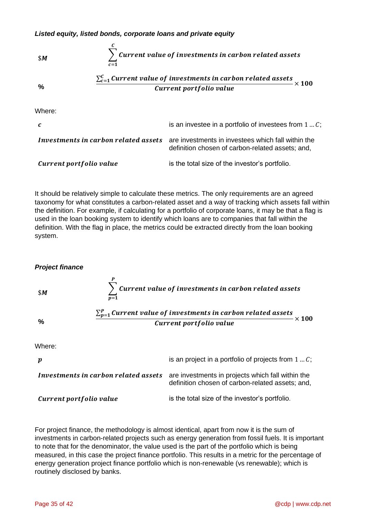

It should be relatively simple to calculate these metrics. The only requirements are an agreed taxonomy for what constitutes a carbon-related asset and a way of tracking which assets fall within the definition. For example, if calculating for a portfolio of corporate loans, it may be that a flag is used in the loan booking system to identify which loans are to companies that fall within the definition. With the flag in place, the metrics could be extracted directly from the loan booking system.

### *Project finance*



For project finance, the methodology is almost identical, apart from now it is the sum of investments in carbon-related projects such as energy generation from fossil fuels. It is important to note that for the denominator, the value used is the part of the portfolio which is being measured, in this case the project finance portfolio. This results in a metric for the percentage of energy generation project finance portfolio which is non-renewable (vs renewable); which is routinely disclosed by banks.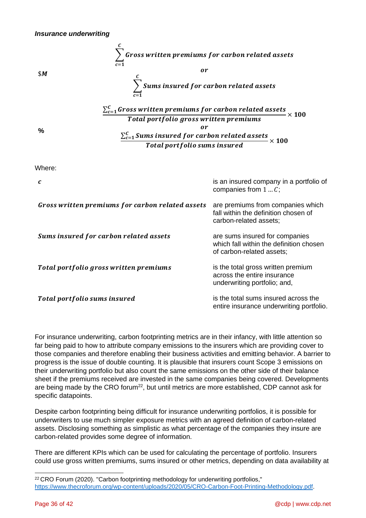

Where:

| $\mathcal{C}_{0}$                                | is an insured company in a portfolio of<br>companies from $1C$ ;                                       |
|--------------------------------------------------|--------------------------------------------------------------------------------------------------------|
| Gross written premiums for carbon related assets | are premiums from companies which<br>fall within the definition chosen of<br>carbon-related assets;    |
| Sums insured for carbon related assets           | are sums insured for companies<br>which fall within the definition chosen<br>of carbon-related assets; |
| Total portfolio gross written premiums           | is the total gross written premium<br>across the entire insurance<br>underwriting portfolio; and,      |
| Total portfolio sums insured                     | is the total sums insured across the<br>entire insurance underwriting portfolio.                       |

For insurance underwriting, carbon footprinting metrics are in their infancy, with little attention so far being paid to how to attribute company emissions to the insurers which are providing cover to those companies and therefore enabling their business activities and emitting behavior. A barrier to progress is the issue of double counting. It is plausible that insurers count Scope 3 emissions on their underwriting portfolio but also count the same emissions on the other side of their balance sheet if the premiums received are invested in the same companies being covered. Developments are being made by the CRO forum $^{22}$ , but until metrics are more established, CDP cannot ask for specific datapoints.

Despite carbon footprinting being difficult for insurance underwriting portfolios, it is possible for underwriters to use much simpler exposure metrics with an agreed definition of carbon-related assets. Disclosing something as simplistic as what percentage of the companies they insure are carbon-related provides some degree of information.

There are different KPIs which can be used for calculating the percentage of portfolio. Insurers could use gross written premiums, sums insured or other metrics, depending on data availability at

<sup>&</sup>lt;sup>22</sup> CRO Forum (2020). "Carbon footprinting methodology for underwriting portfolios," [https://www.thecroforum.org/wp-content/uploads/2020/05/CRO-Carbon-Foot-Printing-Methodology.pdf.](https://www.thecroforum.org/wp-content/uploads/2020/05/CRO-Carbon-Foot-Printing-Methodology.pdf)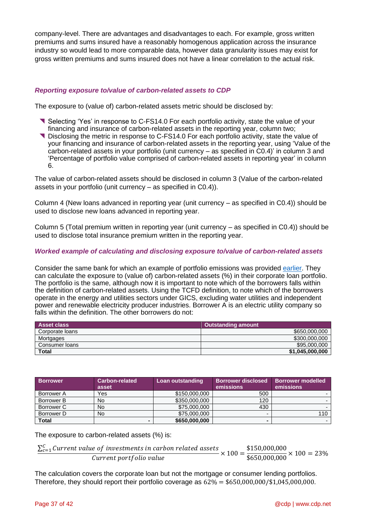company-level. There are advantages and disadvantages to each. For example, gross written premiums and sums insured have a reasonably homogenous application across the insurance industry so would lead to more comparable data, however data granularity issues may exist for gross written premiums and sums insured does not have a linear correlation to the actual risk.

## *Reporting exposure to/value of carbon-related assets to CDP*

The exposure to (value of) carbon-related assets metric should be disclosed by:

- Selecting 'Yes' in response to C-FS14.0 For each portfolio activity, state the value of your financing and insurance of carbon-related assets in the reporting year, column two;
- Disclosing the metric in response to C-FS14.0 For each portfolio activity, state the value of your financing and insurance of carbon-related assets in the reporting year, using 'Value of the carbon-related assets in your portfolio (unit currency – as specified in C0.4)' in column 3 and 'Percentage of portfolio value comprised of carbon-related assets in reporting year' in column 6.

The value of carbon-related assets should be disclosed in column 3 (Value of the carbon-related assets in your portfolio (unit currency – as specified in C0.4)).

Column 4 (New loans advanced in reporting year (unit currency – as specified in C0.4)) should be used to disclose new loans advanced in reporting year.

Column 5 (Total premium written in reporting year (unit currency – as specified in C0.4)) should be used to disclose total insurance premium written in the reporting year.

### *Worked example of calculating and disclosing exposure to/value of carbon-related assets*

Consider the same bank for which an example of portfolio emissions was provided [earlier.](#page-21-0) They can calculate the exposure to (value of) carbon-related assets (%) in their corporate loan portfolio. The portfolio is the same, although now it is important to note which of the borrowers falls within the definition of carbon-related assets. Using the TCFD definition, to note which of the borrowers operate in the energy and utilities sectors under GICS, excluding water utilities and independent power and renewable electricity producer industries. Borrower A is an electric utility company so falls within the definition. The other borrowers do not:

| <b>Asset class</b> | <b>Outstanding amount</b> |
|--------------------|---------------------------|
| Corporate loans    | \$650,000,000             |
| Mortgages          | \$300,000,000             |
| Consumer Ioans     | \$95,000,000              |
| Total              | \$1,045,000,000           |

| <b>Borrower</b> | <b>Carbon-related</b><br>asset | Loan outstanding | <b>Borrower disclosed</b><br>emissions | <b>Borrower modelled</b><br>emissions |
|-----------------|--------------------------------|------------------|----------------------------------------|---------------------------------------|
| Borrower A      | Yes                            | \$150,000,000    | 500                                    |                                       |
| Borrower B      | No                             | \$350,000,000    | 120                                    |                                       |
| Borrower C      | No                             | \$75,000,000     | 430                                    |                                       |
| Borrower D      | No                             | \$75,000,000     |                                        | 110                                   |
| <b>Total</b>    |                                | \$650,000,000    |                                        |                                       |

The exposure to carbon-related assets (%) is:

```
\frac{\sum_{c=1}^{C}Current\ value\ of\ investments\ in\ carbon\ related\ assets}{Current\ portfolio\ value} \times 100 =$150,000,000
                                                                                                         \frac{$60,000,000}{$650,000,000} \times 100 = 23\%
```
The calculation covers the corporate loan but not the mortgage or consumer lending portfolios. Therefore, they should report their portfolio coverage as  $62\% = $650,000,000/$1,045,000,000$ .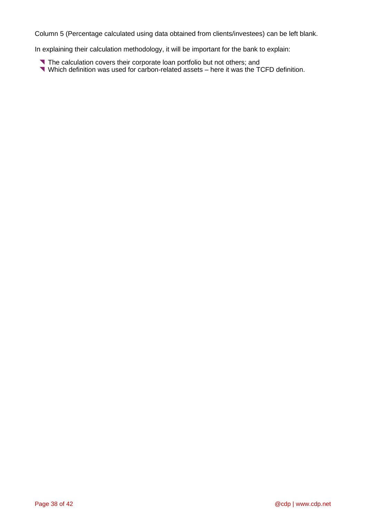Column 5 (Percentage calculated using data obtained from clients/investees) can be left blank.

In explaining their calculation methodology, it will be important for the bank to explain:

- The calculation covers their corporate loan portfolio but not others; and
- Which definition was used for carbon-related assets here it was the TCFD definition.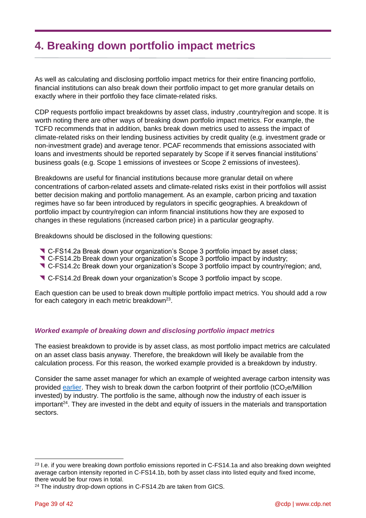## <span id="page-38-0"></span>**4. Breaking down portfolio impact metrics**

As well as calculating and disclosing portfolio impact metrics for their entire financing portfolio, financial institutions can also break down their portfolio impact to get more granular details on exactly where in their portfolio they face climate-related risks.

CDP requests portfolio impact breakdowns by asset class, industry ,country/region and scope. It is worth noting there are other ways of breaking down portfolio impact metrics. For example, the TCFD recommends that in addition, banks break down metrics used to assess the impact of climate-related risks on their lending business activities by credit quality (e.g. investment grade or non-investment grade) and average tenor. PCAF recommends that emissions associated with loans and investments should be reported separately by Scope if it serves financial institutions' business goals (e.g. Scope 1 emissions of investees or Scope 2 emissions of investees).

Breakdowns are useful for financial institutions because more granular detail on where concentrations of carbon-related assets and climate-related risks exist in their portfolios will assist better decision making and portfolio management. As an example, carbon pricing and taxation regimes have so far been introduced by regulators in specific geographies. A breakdown of portfolio impact by country/region can inform financial institutions how they are exposed to changes in these regulations (increased carbon price) in a particular geography.

Breakdowns should be disclosed in the following questions:

- C-FS14.2a Break down your organization's Scope 3 portfolio impact by asset class;
- C-FS14.2b Break down your organization's Scope 3 portfolio impact by industry;
- C-FS14.2c Break down your organization's Scope 3 portfolio impact by country/region; and,
- C-FS14.2d Break down your organization's Scope 3 portfolio impact by scope.

Each question can be used to break down multiple portfolio impact metrics. You should add a row for each category in each metric breakdown<sup>23</sup>.

## *Worked example of breaking down and disclosing portfolio impact metrics*

The easiest breakdown to provide is by asset class, as most portfolio impact metrics are calculated on an asset class basis anyway. Therefore, the breakdown will likely be available from the calculation process. For this reason, the worked example provided is a breakdown by industry.

Consider the same asset manager for which an example of weighted average carbon intensity was provided [earlier.](#page-25-0) They wish to break down the carbon footprint of their portfolio (tCO<sub>2</sub>e/Million invested) by industry. The portfolio is the same, although now the industry of each issuer is important<sup>24</sup>. They are invested in the debt and equity of issuers in the materials and transportation sectors.

<sup>&</sup>lt;sup>23</sup> I.e. if you were breaking down portfolio emissions reported in C-FS14.1a and also breaking down weighted average carbon intensity reported in C-FS14.1b, both by asset class into listed equity and fixed income, there would be four rows in total.

<sup>&</sup>lt;sup>24</sup> The industry drop-down options in C-FS14.2b are taken from GICS.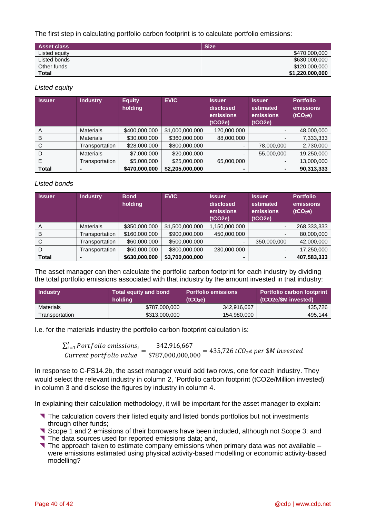The first step in calculating portfolio carbon footprint is to calculate portfolio emissions:

| <b>Asset class</b> | <b>Size</b>     |
|--------------------|-----------------|
| Listed equity      | \$470,000,000   |
| Listed bonds       | \$630,000,000   |
| Other funds        | \$120,000,000   |
| <b>Total</b>       | \$1,220,000,000 |

### *Listed equity*

| <b>Issuer</b> | <b>Industry</b>  | <b>Equity</b><br>holding | <b>EVIC</b>     | <b>Issuer</b><br>disclosed<br>emissions<br>(tCO2e) | <b>Issuer</b><br>estimated<br>emissions<br>(tCO2e) | <b>Portfolio</b><br>emissions<br>(tCO <sub>2</sub> e) |
|---------------|------------------|--------------------------|-----------------|----------------------------------------------------|----------------------------------------------------|-------------------------------------------------------|
| A             | <b>Materials</b> | \$400,000,000            | \$1,000,000,000 | 120,000,000                                        | $\overline{\phantom{0}}$                           | 48,000,000                                            |
| B             | <b>Materials</b> | \$30,000,000             | \$360,000,000   | 88,000,000                                         |                                                    | 7,333,333                                             |
| C             | Transportation   | \$28,000,000             | \$800,000,000   |                                                    | 78,000,000                                         | 2,730,000                                             |
| D             | <b>Materials</b> | \$7,000,000              | \$20,000,000    |                                                    | 55,000,000                                         | 19,250,000                                            |
| E             | Transportation   | \$5,000,000              | \$25,000,000    | 65,000,000                                         |                                                    | 13,000,000                                            |
| Total         |                  | \$470,000,000            | \$2,205,000,000 |                                                    |                                                    | 90,313,333                                            |

## *Listed bonds*

| <b>Issuer</b> | <b>Industry</b>  | <b>Bond</b><br>holding | <b>EVIC</b>     | <b>Issuer</b><br>disclosed<br>emissions<br>(tCO2e) | <b>Issuer</b><br>estimated<br>emissions<br>(tCO2e) | <b>Portfolio</b><br>emissions<br>(tCO <sub>2</sub> e) |
|---------------|------------------|------------------------|-----------------|----------------------------------------------------|----------------------------------------------------|-------------------------------------------------------|
| A             | <b>Materials</b> | \$350,000,000          | \$1,500,000,000 | 1,150,000,000                                      | $\overline{\phantom{0}}$                           | 268,333,333                                           |
| B             | Transportation   | \$160,000,000          | \$900,000,000   | 450,000,000                                        | -                                                  | 80,000,000                                            |
| C             | Transportation   | \$60,000,000           | \$500,000,000   |                                                    | 350,000,000                                        | 42,000,000                                            |
| D             | Transportation   | \$60,000,000           | \$800,000,000   | 230,000,000                                        |                                                    | 17,250,000                                            |
| <b>Total</b>  |                  | \$630,000,000          | \$3,700,000,000 |                                                    | -                                                  | 407,583,333                                           |

The asset manager can then calculate the portfolio carbon footprint for each industry by dividing the total portfolio emissions associated with that industry by the amount invested in that industry:

| <b>Industry</b>  | <b>Total equity and bond</b><br>holding | <b>Portfolio emissions</b><br>(tCO <sub>2</sub> e) | <b>Portfolio carbon footprint</b><br>(tCO2e/\$M invested) |
|------------------|-----------------------------------------|----------------------------------------------------|-----------------------------------------------------------|
| <b>Materials</b> | \$787,000,000                           | 342,916,667                                        | 435.726                                                   |
| Transportation   | \$313,000,000                           | 154,980,000                                        | 495.144                                                   |

I.e. for the materials industry the portfolio carbon footprint calculation is:

 $\frac{\sum_{i=1}^{I} Portfolio \ emission{s_i}}{Current \ portfolio \ value} =$ 342,916,667  $\frac{3.387,000,000,000}{1}$  = 435,726 tCO<sub>2</sub>e per \$M invested

In response to C-FS14.2b, the asset manager would add two rows, one for each industry. They would select the relevant industry in column 2, 'Portfolio carbon footprint (tCO2e/Million invested)' in column 3 and disclose the figures by industry in column 4.

In explaining their calculation methodology, it will be important for the asset manager to explain:

- The calculation covers their listed equity and listed bonds portfolios but not investments through other funds;
- Scope 1 and 2 emissions of their borrowers have been included, although not Scope 3; and
- The data sources used for reported emissions data; and,
- The approach taken to estimate company emissions when primary data was not available  $$ were emissions estimated using physical activity-based modelling or economic activity-based modelling?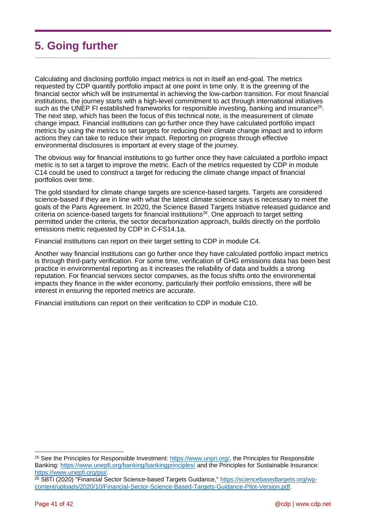## <span id="page-40-0"></span>**5. Going further**

Calculating and disclosing portfolio impact metrics is not in itself an end-goal. The metrics requested by CDP quantify portfolio impact at one point in time only. It is the greening of the financial sector which will be instrumental in achieving the low-carbon transition. For most financial institutions, the journey starts with a high-level commitment to act through international initiatives such as the UNEP FI established frameworks for responsible investing, banking and insurance<sup>25</sup>. The next step, which has been the focus of this technical note, is the measurement of climate change impact. Financial institutions can go further once they have calculated portfolio impact metrics by using the metrics to set targets for reducing their climate change impact and to inform actions they can take to reduce their impact. Reporting on progress through effective environmental disclosures is important at every stage of the journey.

The obvious way for financial institutions to go further once they have calculated a portfolio impact metric is to set a target to improve the metric. Each of the metrics requested by CDP in module C14 could be used to construct a target for reducing the climate change impact of financial portfolios over time.

The gold standard for climate change targets are science-based targets. Targets are considered science-based if they are in line with what the latest climate science says is necessary to meet the goals of the Paris Agreement. In 2020, the Science Based Targets Initiative released guidance and criteria on science-based targets for financial institutions<sup>26</sup>. One approach to target setting permitted under the criteria, the sector decarbonization approach, builds directly on the portfolio emissions metric requested by CDP in C-FS14.1a.

Financial institutions can report on their target setting to CDP in module C4.

Another way financial institutions can go further once they have calculated portfolio impact metrics is through third-party verification. For some time, verification of GHG emissions data has been best practice in environmental reporting as it increases the reliability of data and builds a strong reputation. For financial services sector companies, as the focus shifts onto the environmental impacts they finance in the wider economy, particularly their portfolio emissions, there will be interest in ensuring the reported metrics are accurate.

Financial institutions can report on their verification to CDP in module C10.

<sup>&</sup>lt;sup>25</sup> See the Principles for Responsible Investment: [https://www.unpri.org/,](https://www.unpri.org/) the Principles for Responsible Banking:<https://www.unepfi.org/banking/bankingprinciples/> and the Principles for Sustainable Insurance: [https://www.unepfi.org/psi/.](https://www.unepfi.org/psi/)

<sup>26</sup> SBTi (2020) "Financial Sector Science-based Targets Guidance," [https://sciencebasedtargets.org/wp](https://sciencebasedtargets.org/wp-content/uploads/2020/10/Financial-Sector-Science-Based-Targets-Guidance-Pilot-Version.pdf)[content/uploads/2020/10/Financial-Sector-Science-Based-Targets-Guidance-Pilot-Version.pdf.](https://sciencebasedtargets.org/wp-content/uploads/2020/10/Financial-Sector-Science-Based-Targets-Guidance-Pilot-Version.pdf)